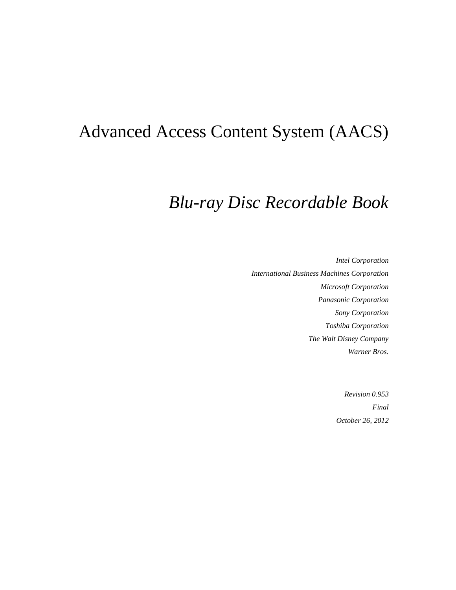# Advanced Access Content System (AACS)

# *Blu-ray Disc Recordable Book*

*Intel Corporation International Business Machines Corporation Microsoft Corporation Panasonic Corporation Sony Corporation Toshiba Corporation The Walt Disney Company Warner Bros.*

> *Revision 0.953 Final October 26, 2012*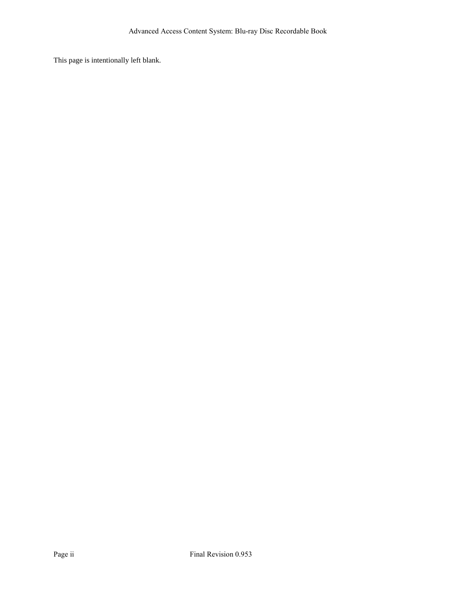This page is intentionally left blank.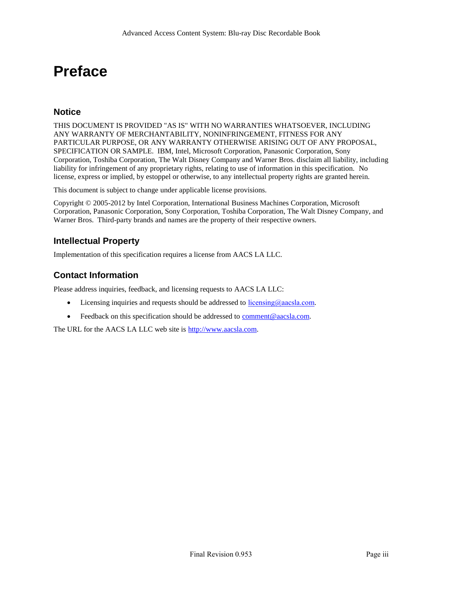## **Preface**

#### **Notice**

THIS DOCUMENT IS PROVIDED "AS IS" WITH NO WARRANTIES WHATSOEVER, INCLUDING ANY WARRANTY OF MERCHANTABILITY, NONINFRINGEMENT, FITNESS FOR ANY PARTICULAR PURPOSE, OR ANY WARRANTY OTHERWISE ARISING OUT OF ANY PROPOSAL, SPECIFICATION OR SAMPLE. IBM, Intel, Microsoft Corporation, Panasonic Corporation, Sony Corporation, Toshiba Corporation, The Walt Disney Company and Warner Bros. disclaim all liability, including liability for infringement of any proprietary rights, relating to use of information in this specification. No license, express or implied, by estoppel or otherwise, to any intellectual property rights are granted herein.

This document is subject to change under applicable license provisions.

Copyright © 2005-2012 by Intel Corporation, International Business Machines Corporation, Microsoft Corporation, Panasonic Corporation, Sony Corporation, Toshiba Corporation, The Walt Disney Company, and Warner Bros. Third-party brands and names are the property of their respective owners.

#### **Intellectual Property**

Implementation of this specification requires a license from AACS LA LLC.

#### **Contact Information**

Please address inquiries, feedback, and licensing requests to AACS LA LLC:

- Licensing inquiries and requests should be addressed to  $\frac{ \text{licensing}(\omega)$  aacsla.com.
- Feedback on this specification should be addressed to [comment@aacsla.com.](mailto:comment@aacsla.com)

The URL for the AACS LA LLC web site is [http://www.aacsla.com.](http://www.aacsla.com/)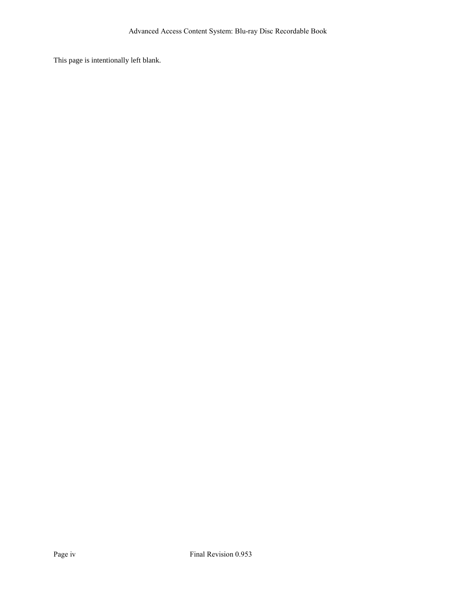This page is intentionally left blank.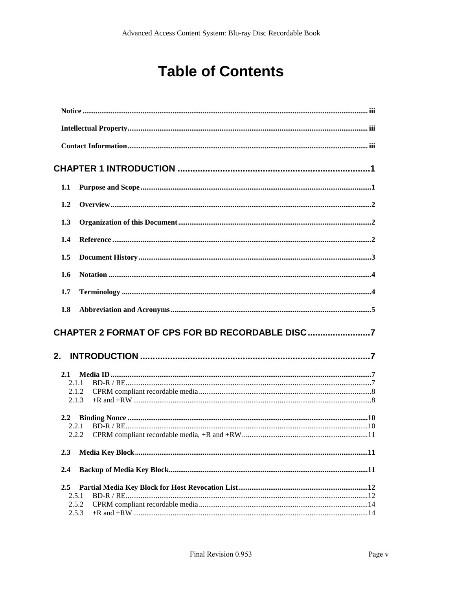# **Table of Contents**

| 1.1           |                                                 |  |
|---------------|-------------------------------------------------|--|
| 1.2           |                                                 |  |
| 1.3           |                                                 |  |
| 1.4           |                                                 |  |
| 1.5           |                                                 |  |
| 1.6           |                                                 |  |
| 1.7           |                                                 |  |
|               |                                                 |  |
|               |                                                 |  |
| 1.8           |                                                 |  |
|               | CHAPTER 2 FORMAT OF CPS FOR BD RECORDABLE DISC7 |  |
|               |                                                 |  |
| 2.            |                                                 |  |
| 2.1           | 2.1.1                                           |  |
|               | 2.1.2                                           |  |
|               | 2.1.3                                           |  |
| $2.2^{\circ}$ |                                                 |  |
|               | 2.2.1                                           |  |
|               | 2.2.2                                           |  |
| 2.3           |                                                 |  |
| 2.4           |                                                 |  |
|               |                                                 |  |
| 2.5           | 2.5.1                                           |  |
|               | 2.5.2                                           |  |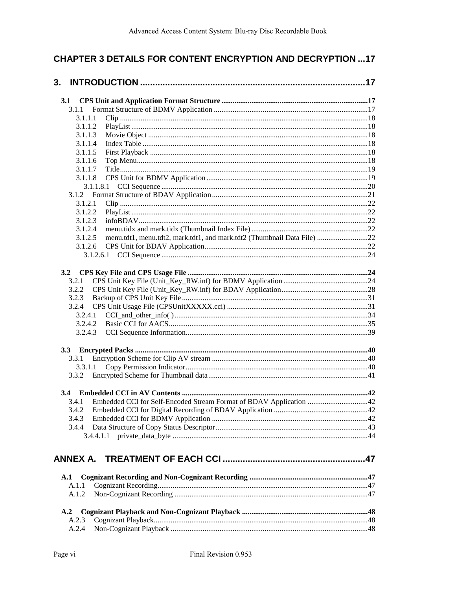## **CHAPTER 3 DETAILS FOR CONTENT ENCRYPTION AND DECRYPTION ...17**

| 3.1       |                                                                         |  |
|-----------|-------------------------------------------------------------------------|--|
| 3.1.1     |                                                                         |  |
| 3.1.1.1   |                                                                         |  |
| 3.1.1.2   |                                                                         |  |
| 3.1.1.3   |                                                                         |  |
| 3.1.1.4   |                                                                         |  |
| 3.1.1.5   |                                                                         |  |
| 3.1.1.6   |                                                                         |  |
| 3.1.1.7   |                                                                         |  |
| 3.1.1.8   |                                                                         |  |
| 3.1.1.8.1 |                                                                         |  |
|           |                                                                         |  |
| 3.1.2.1   |                                                                         |  |
| 3.1.2.2   |                                                                         |  |
| 3.1.2.3   |                                                                         |  |
| 3.1.2.4   |                                                                         |  |
| 3.1.2.5   | menu.tdt1, menu.tdt2, mark.tdt1, and mark.tdt2 (Thumbnail Data File) 22 |  |
| 3.1.2.6   |                                                                         |  |
| 3.1.2.6.1 |                                                                         |  |
| 3.2       |                                                                         |  |
| 3.2.1     |                                                                         |  |
| 3.2.2     |                                                                         |  |
| 3.2.3     |                                                                         |  |
| 3.2.4     |                                                                         |  |
| 3.2.4.1   |                                                                         |  |
| 3.2.4.2   |                                                                         |  |
| 3.2.4.3   |                                                                         |  |
|           |                                                                         |  |
| 3.3.1     |                                                                         |  |
| 3.3.1.1   |                                                                         |  |
| 3.3.2     |                                                                         |  |
|           |                                                                         |  |
| 3.4.1     |                                                                         |  |
|           |                                                                         |  |
|           |                                                                         |  |
| 3.4.3     |                                                                         |  |
| 3.4.4     |                                                                         |  |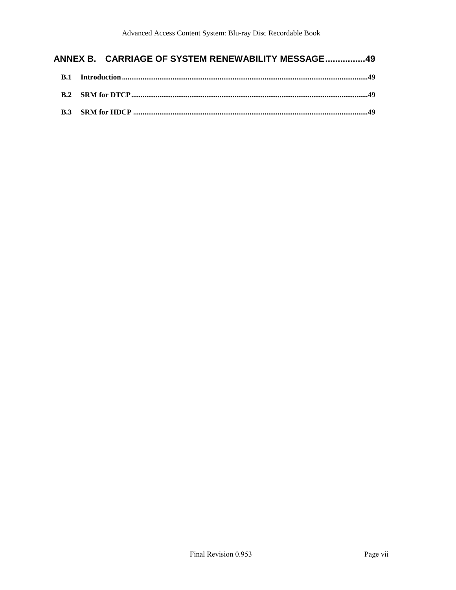| ANNEX B. CARRIAGE OF SYSTEM RENEWABILITY MESSAGE49 |  |
|----------------------------------------------------|--|
|                                                    |  |
|                                                    |  |
|                                                    |  |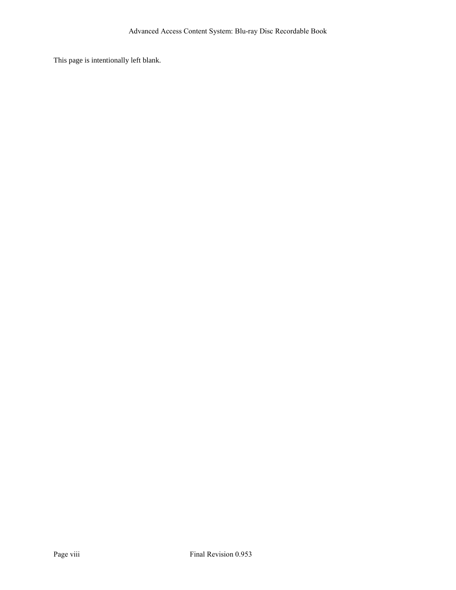This page is intentionally left blank.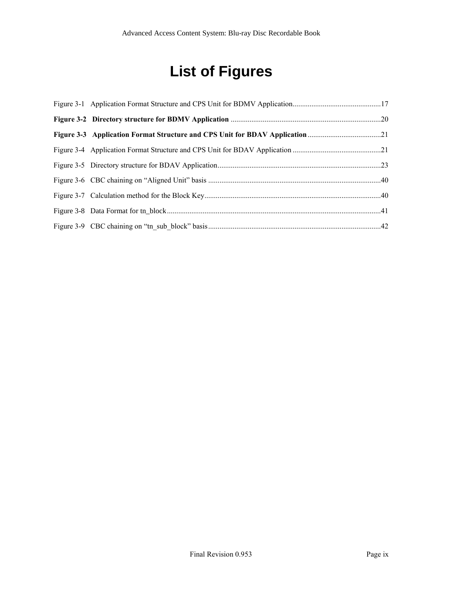# **List of Figures**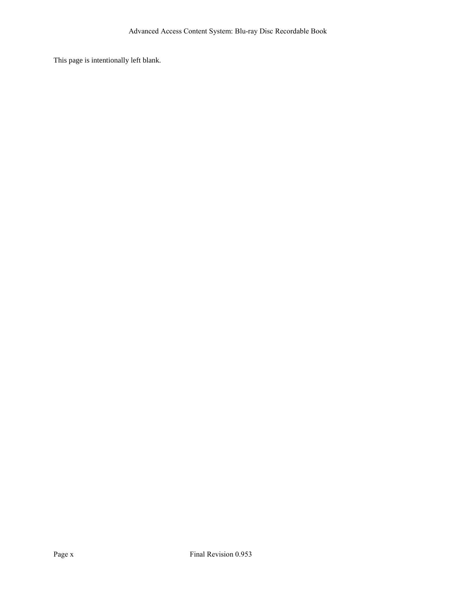This page is intentionally left blank.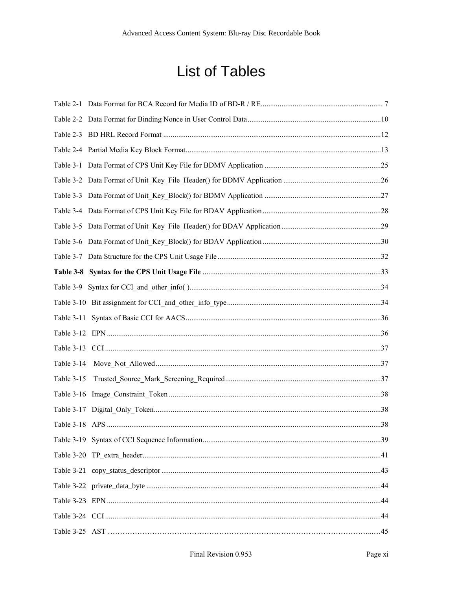# **List of Tables**

| Table 3-11   |  |
|--------------|--|
|              |  |
|              |  |
| Table 3-14   |  |
| Table 3-15   |  |
| Table $3-16$ |  |
|              |  |
|              |  |
|              |  |
|              |  |
|              |  |
|              |  |
|              |  |
|              |  |
|              |  |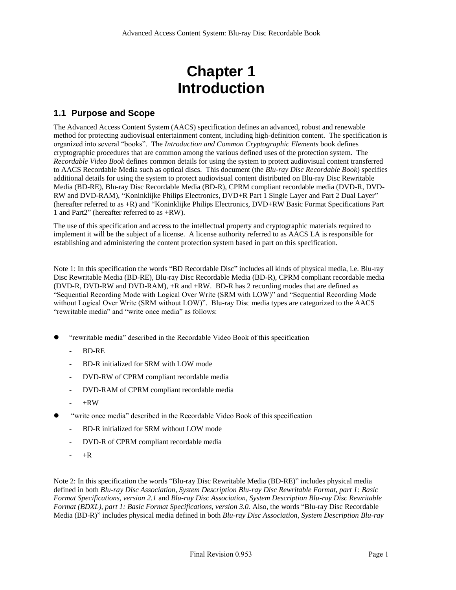# **Chapter 1 Introduction**

### <span id="page-12-0"></span>**1.1 Purpose and Scope**

The Advanced Access Content System (AACS) specification defines an advanced, robust and renewable method for protecting audiovisual entertainment content, including high-definition content. The specification is organized into several "books". The *Introduction and Common Cryptographic Elements* book defines cryptographic procedures that are common among the various defined uses of the protection system. The *Recordable Video Book* defines common details for using the system to protect audiovisual content transferred to AACS Recordable Media such as optical discs. This document (the *Blu-ray Disc Recordable Book*) specifies additional details for using the system to protect audiovisual content distributed on Blu-ray Disc Rewritable Media (BD-RE), Blu-ray Disc Recordable Media (BD-R), CPRM compliant recordable media (DVD-R, DVD-RW and DVD-RAM), "Koninklijke Philips Electronics, DVD+R Part 1 Single Layer and Part 2 Dual Layer" (hereafter referred to as +R) and "Koninklijke Philips Electronics, DVD+RW Basic Format Specifications Part 1 and Part2" (hereafter referred to as +RW).

The use of this specification and access to the intellectual property and cryptographic materials required to implement it will be the subject of a license. A license authority referred to as AACS LA is responsible for establishing and administering the content protection system based in part on this specification.

Note 1: In this specification the words "BD Recordable Disc" includes all kinds of physical media, i.e. Blu-ray Disc Rewritable Media (BD-RE), Blu-ray Disc Recordable Media (BD-R), CPRM compliant recordable media (DVD-R, DVD-RW and DVD-RAM), +R and +RW. BD-R has 2 recording modes that are defined as "Sequential Recording Mode with Logical Over Write (SRM with LOW)" and "Sequential Recording Mode without Logical Over Write (SRM without LOW)". Blu-ray Disc media types are categorized to the AACS "rewritable media" and "write once media" as follows:

- "rewritable media" described in the Recordable Video Book of this specification
	- BD-RE
	- BD-R initialized for SRM with LOW mode
	- DVD-RW of CPRM compliant recordable media
	- DVD-RAM of CPRM compliant recordable media
	- $+ RW$
- "write once media" described in the Recordable Video Book of this specification
	- BD-R initialized for SRM without LOW mode
	- DVD-R of CPRM compliant recordable media
	- $+R$

Note 2: In this specification the words "Blu-ray Disc Rewritable Media (BD-RE)" includes physical media defined in both *Blu-ray Disc Association, System Description Blu-ray Disc Rewritable Format, part 1: Basic Format Specifications, version 2.1* and *Blu-ray Disc Association, System Description Blu-ray Disc Rewritable Format (BDXL), part 1: Basic Format Specifications, version 3.0.* Also, the words "Blu-ray Disc Recordable" Media (BD-R)" includes physical media defined in both *Blu-ray Disc Association, System Description Blu-ray*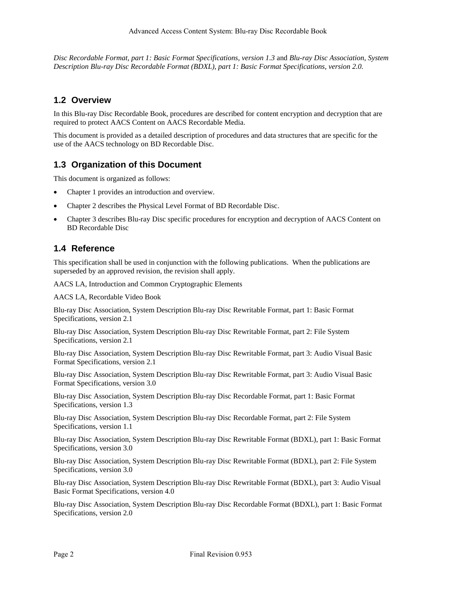*Disc Recordable Format, part 1: Basic Format Specifications, version 1.3* and *Blu-ray Disc Association, System Description Blu-ray Disc Recordable Format (BDXL), part 1: Basic Format Specifications, version 2.0.* 

## **1.2 Overview**

In this Blu-ray Disc Recordable Book, procedures are described for content encryption and decryption that are required to protect AACS Content on AACS Recordable Media.

This document is provided as a detailed description of procedures and data structures that are specific for the use of the AACS technology on BD Recordable Disc.

#### **1.3 Organization of this Document**

This document is organized as follows:

- Chapter 1 provides an introduction and overview.
- Chapter 2 describes the Physical Level Format of BD Recordable Disc.
- Chapter 3 describes Blu-ray Disc specific procedures for encryption and decryption of AACS Content on BD Recordable Disc

#### **1.4 Reference**

This specification shall be used in conjunction with the following publications. When the publications are superseded by an approved revision, the revision shall apply.

AACS LA, Introduction and Common Cryptographic Elements

AACS LA, Recordable Video Book

Blu-ray Disc Association, System Description Blu-ray Disc Rewritable Format, part 1: Basic Format Specifications, version 2.1

Blu-ray Disc Association, System Description Blu-ray Disc Rewritable Format, part 2: File System Specifications, version 2.1

Blu-ray Disc Association, System Description Blu-ray Disc Rewritable Format, part 3: Audio Visual Basic Format Specifications, version 2.1

Blu-ray Disc Association, System Description Blu-ray Disc Rewritable Format, part 3: Audio Visual Basic Format Specifications, version 3.0

Blu-ray Disc Association, System Description Blu-ray Disc Recordable Format, part 1: Basic Format Specifications, version 1.3

Blu-ray Disc Association, System Description Blu-ray Disc Recordable Format, part 2: File System Specifications, version 1.1

Blu-ray Disc Association, System Description Blu-ray Disc Rewritable Format (BDXL), part 1: Basic Format Specifications, version 3.0

Blu-ray Disc Association, System Description Blu-ray Disc Rewritable Format (BDXL), part 2: File System Specifications, version 3.0

Blu-ray Disc Association, System Description Blu-ray Disc Rewritable Format (BDXL), part 3: Audio Visual Basic Format Specifications, version 4.0

Blu-ray Disc Association, System Description Blu-ray Disc Recordable Format (BDXL), part 1: Basic Format Specifications, version 2.0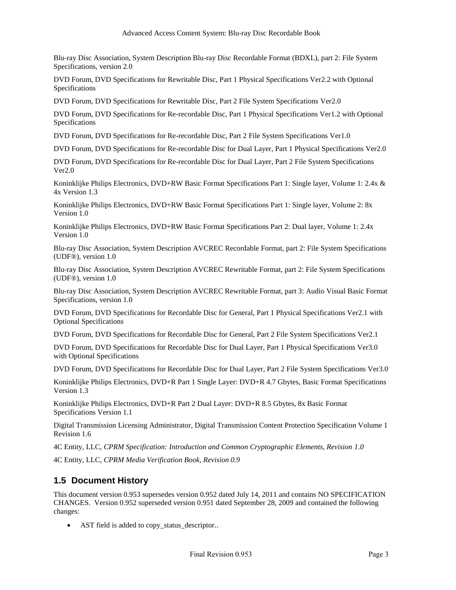Blu-ray Disc Association, System Description Blu-ray Disc Recordable Format (BDXL), part 2: File System Specifications, version 2.0

DVD Forum, DVD Specifications for Rewritable Disc, Part 1 Physical Specifications Ver2.2 with Optional Specifications

DVD Forum, DVD Specifications for Rewritable Disc, Part 2 File System Specifications Ver2.0

DVD Forum, DVD Specifications for Re-recordable Disc, Part 1 Physical Specifications Ver1.2 with Optional Specifications

DVD Forum, DVD Specifications for Re-recordable Disc, Part 2 File System Specifications Ver1.0

DVD Forum, DVD Specifications for Re-recordable Disc for Dual Layer, Part 1 Physical Specifications Ver2.0

DVD Forum, DVD Specifications for Re-recordable Disc for Dual Layer, Part 2 File System Specifications Ver2.0

Koninklijke Philips Electronics, DVD+RW Basic Format Specifications Part 1: Single layer, Volume 1: 2.4x & 4x Version 1.3

Koninklijke Philips Electronics, DVD+RW Basic Format Specifications Part 1: Single layer, Volume 2: 8x Version 1.0

Koninklijke Philips Electronics, DVD+RW Basic Format Specifications Part 2: Dual layer, Volume 1: 2.4x Version 1.0

Blu-ray Disc Association, System Description AVCREC Recordable Format, part 2: File System Specifications (UDF®), version 1.0

Blu-ray Disc Association, System Description AVCREC Rewritable Format, part 2: File System Specifications (UDF®), version 1.0

Blu-ray Disc Association, System Description AVCREC Rewritable Format, part 3: Audio Visual Basic Format Specifications, version 1.0

DVD Forum, DVD Specifications for Recordable Disc for General, Part 1 Physical Specifications Ver2.1 with Optional Specifications

DVD Forum, DVD Specifications for Recordable Disc for General, Part 2 File System Specifications Ver2.1

DVD Forum, DVD Specifications for Recordable Disc for Dual Layer, Part 1 Physical Specifications Ver3.0 with Optional Specifications

DVD Forum, DVD Specifications for Recordable Disc for Dual Layer, Part 2 File System Specifications Ver3.0

Koninklijke Philips Electronics, DVD+R Part 1 Single Layer: DVD+R 4.7 Gbytes, Basic Format Specifications Version 1.3

Koninklijke Philips Electronics, DVD+R Part 2 Dual Layer: DVD+R 8.5 Gbytes, 8x Basic Format Specifications Version 1.1

Digital Transmission Licensing Administrator, Digital Transmission Content Protection Specification Volume 1 Revision 1.6

4C Entity, LLC, *CPRM Specification: Introduction and Common Cryptographic Elements, Revision 1.0*

4C Entity, LLC, *CPRM Media Verification Book, Revision 0.9*

#### **1.5 Document History**

This document version 0.953 supersedes version 0.952 dated July 14, 2011 and contains NO SPECIFICATION CHANGES. Version 0.952 superseded version 0.951 dated September 28, 2009 and contained the following changes:

AST field is added to copy\_status\_descriptor..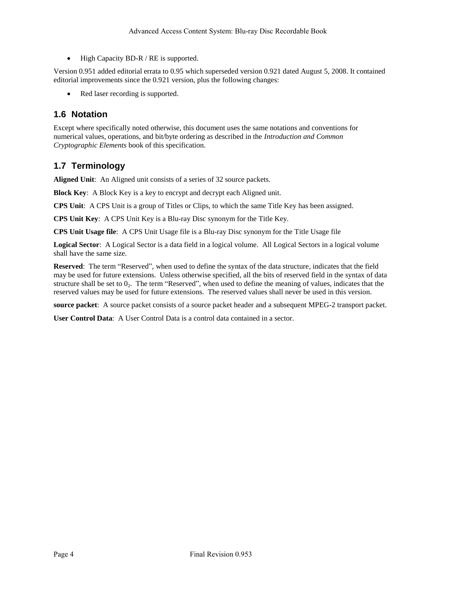$\bullet$  High Capacity BD-R / RE is supported.

Version 0.951 added editorial errata to 0.95 which superseded version 0.921 dated August 5, 2008. It contained editorial improvements since the 0.921 version, plus the following changes:

• Red laser recording is supported.

#### **1.6 Notation**

Except where specifically noted otherwise, this document uses the same notations and conventions for numerical values, operations, and bit/byte ordering as described in the *Introduction and Common Cryptographic Elements* book of this specification.

#### **1.7 Terminology**

**Aligned Unit**: An Aligned unit consists of a series of 32 source packets.

**Block Key**: A Block Key is a key to encrypt and decrypt each Aligned unit.

**CPS Unit**: A CPS Unit is a group of Titles or Clips, to which the same Title Key has been assigned.

**CPS Unit Key**: A CPS Unit Key is a Blu-ray Disc synonym for the Title Key.

**CPS Unit Usage file**: A CPS Unit Usage file is a Blu-ray Disc synonym for the Title Usage file

**Logical Sector**: A Logical Sector is a data field in a logical volume. All Logical Sectors in a logical volume shall have the same size.

**Reserved**: The term "Reserved", when used to define the syntax of the data structure, indicates that the field may be used for future extensions. Unless otherwise specified, all the bits of reserved field in the syntax of data structure shall be set to  $0<sub>2</sub>$ . The term "Reserved", when used to define the meaning of values, indicates that the reserved values may be used for future extensions. The reserved values shall never be used in this version.

**source packet**: A source packet consists of a source packet header and a subsequent MPEG-2 transport packet.

**User Control Data**: A User Control Data is a control data contained in a sector.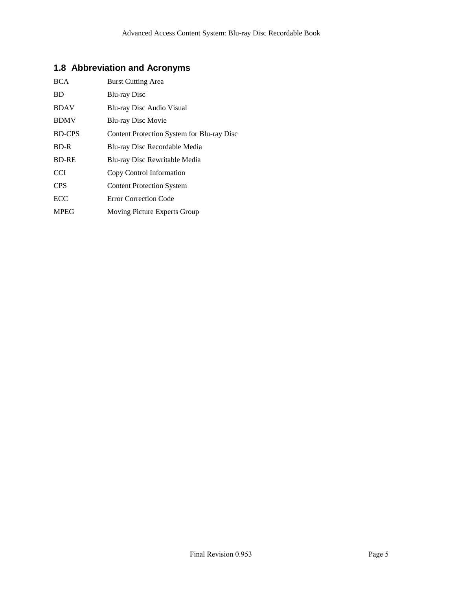## **1.8 Abbreviation and Acronyms**

| <b>BCA</b>    | <b>Burst Cutting Area</b>                  |
|---------------|--------------------------------------------|
| <b>BD</b>     | <b>Blu-ray Disc</b>                        |
| <b>BDAV</b>   | Blu-ray Disc Audio Visual                  |
| <b>BDMV</b>   | <b>Blu-ray Disc Movie</b>                  |
| <b>BD-CPS</b> | Content Protection System for Blu-ray Disc |
| BD-R          | Blu-ray Disc Recordable Media              |
| <b>BD-RE</b>  | Blu-ray Disc Rewritable Media              |
| CCI.          | Copy Control Information                   |
| <b>CPS</b>    | <b>Content Protection System</b>           |
| ECC           | <b>Error Correction Code</b>               |
| <b>MPEG</b>   | Moving Picture Experts Group               |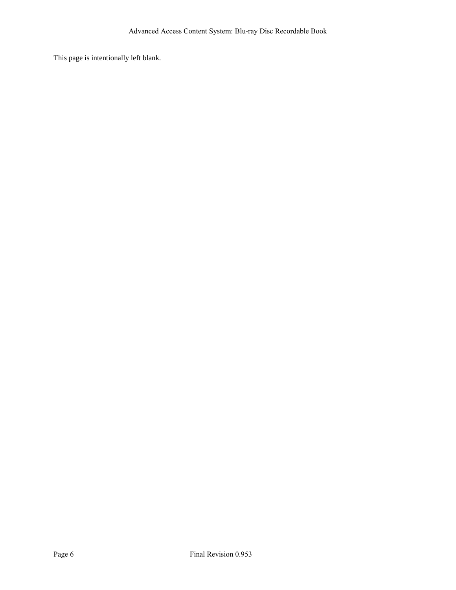This page is intentionally left blank.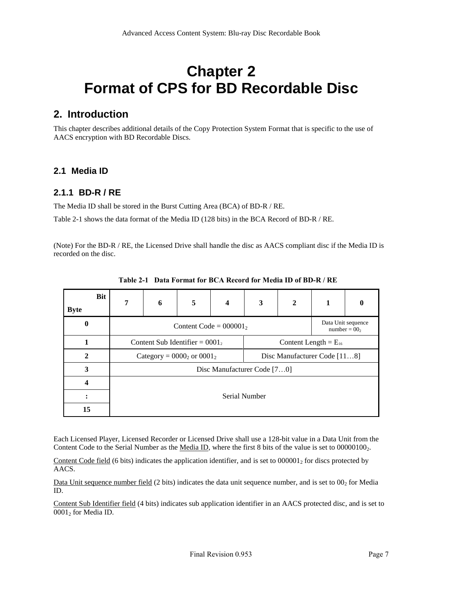# **Chapter 2 Format of CPS for BD Recordable Disc**

## **2. Introduction**

This chapter describes additional details of the Copy Protection System Format that is specific to the use of AACS encryption with BD Recordable Discs.

## **2.1 Media ID**

## **2.1.1 BD-R / RE**

The Media ID shall be stored in the Burst Cutting Area (BCA) of BD-R / RE.

[Table 2-1](#page-18-0) shows the data format of the Media ID (128 bits) in the BCA Record of BD-R / RE.

(Note) For the BD-R / RE, the Licensed Drive shall handle the disc as AACS compliant disc if the Media ID is recorded on the disc.

<span id="page-18-0"></span>

| <b>Bit</b><br><b>Byte</b> | 7             | 6                                                                 | 5 | $\boldsymbol{4}$ | 3 | $\mathbf{2}$ | 1                         |  |  |
|---------------------------|---------------|-------------------------------------------------------------------|---|------------------|---|--------------|---------------------------|--|--|
| $\bf{0}$                  |               | Data Unit sequence<br>Content Code = $000001_2$<br>number = $002$ |   |                  |   |              |                           |  |  |
|                           |               | Content Sub Identifier $= 0001$ ,                                 |   |                  |   |              | Content Length = $E_{16}$ |  |  |
| $\mathbf{2}$              |               | Category = $0000_2$ or $0001_2$<br>Disc Manufacturer Code [118]   |   |                  |   |              |                           |  |  |
| 3                         |               | Disc Manufacturer Code [70]                                       |   |                  |   |              |                           |  |  |
| 4                         |               |                                                                   |   |                  |   |              |                           |  |  |
|                           | Serial Number |                                                                   |   |                  |   |              |                           |  |  |
| 15                        |               |                                                                   |   |                  |   |              |                           |  |  |

**Table 2-1 Data Format for BCA Record for Media ID of BD-R / RE**

Each Licensed Player, Licensed Recorder or Licensed Drive shall use a 128-bit value in a Data Unit from the Content Code to the Serial Number as the <u>Media ID</u>, where the first 8 bits of the value is set to  $00000100<sub>2</sub>$ .

Content Code field (6 bits) indicates the application identifier, and is set to  $000001<sub>2</sub>$  for discs protected by AACS.

Data Unit sequence number field (2 bits) indicates the data unit sequence number, and is set to  $00<sub>2</sub>$  for Media ID.

Content Sub Identifier field (4 bits) indicates sub application identifier in an AACS protected disc, and is set to 0001<sub>2</sub> for Media ID.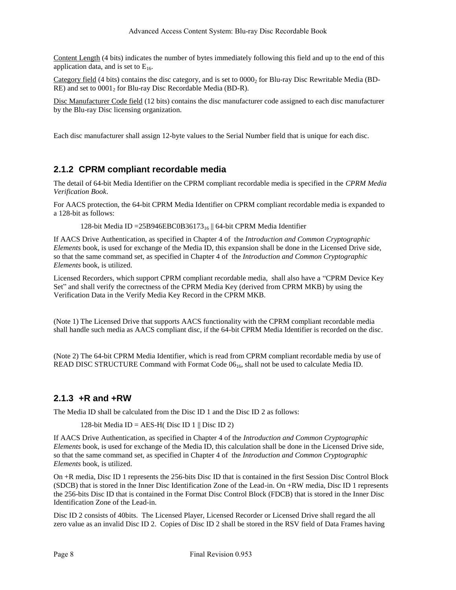Content Length (4 bits) indicates the number of bytes immediately following this field and up to the end of this application data, and is set to  $E_{16}$ .

Category field (4 bits) contains the disc category, and is set to 0000<sub>2</sub> for Blu-ray Disc Rewritable Media (BD- $RE$ ) and set to  $0001$ <sub>2</sub> for Blu-ray Disc Recordable Media (BD-R).

Disc Manufacturer Code field (12 bits) contains the disc manufacturer code assigned to each disc manufacturer by the Blu-ray Disc licensing organization.

Each disc manufacturer shall assign 12-byte values to the Serial Number field that is unique for each disc.

#### **2.1.2 CPRM compliant recordable media**

The detail of 64-bit Media Identifier on the CPRM compliant recordable media is specified in the *CPRM Media Verification Book*.

For AACS protection, the 64-bit CPRM Media Identifier on CPRM compliant recordable media is expanded to a 128-bit as follows:

128-bit Media ID = 25B946EBC0B36173<sub>16</sub> || 64-bit CPRM Media Identifier

If AACS Drive Authentication, as specified in Chapter 4 of the *Introduction and Common Cryptographic Elements* book, is used for exchange of the Media ID, this expansion shall be done in the Licensed Drive side, so that the same command set, as specified in Chapter 4 of the *Introduction and Common Cryptographic Elements* book, is utilized.

Licensed Recorders, which support CPRM compliant recordable media, shall also have a "CPRM Device Key Set" and shall verify the correctness of the CPRM Media Key (derived from CPRM MKB) by using the Verification Data in the Verify Media Key Record in the CPRM MKB.

(Note 1) The Licensed Drive that supports AACS functionality with the CPRM compliant recordable media shall handle such media as AACS compliant disc, if the 64-bit CPRM Media Identifier is recorded on the disc.

(Note 2) The 64-bit CPRM Media Identifier, which is read from CPRM compliant recordable media by use of READ DISC STRUCTURE Command with Format Code  $06<sub>16</sub>$ , shall not be used to calculate Media ID.

#### **2.1.3 +R and +RW**

The Media ID shall be calculated from the Disc ID 1 and the Disc ID 2 as follows:

128-bit Media ID = AES-H( Disc ID 1 || Disc ID 2)

If AACS Drive Authentication, as specified in Chapter 4 of the *Introduction and Common Cryptographic Elements* book, is used for exchange of the Media ID, this calculation shall be done in the Licensed Drive side, so that the same command set, as specified in Chapter 4 of the *Introduction and Common Cryptographic Elements* book, is utilized.

On +R media, Disc ID 1 represents the 256-bits Disc ID that is contained in the first Session Disc Control Block (SDCB) that is stored in the Inner Disc Identification Zone of the Lead-in. On +RW media, Disc ID 1 represents the 256-bits Disc ID that is contained in the Format Disc Control Block (FDCB) that is stored in the Inner Disc Identification Zone of the Lead-in.

Disc ID 2 consists of 40bits. The Licensed Player, Licensed Recorder or Licensed Drive shall regard the all zero value as an invalid Disc ID 2. Copies of Disc ID 2 shall be stored in the RSV field of Data Frames having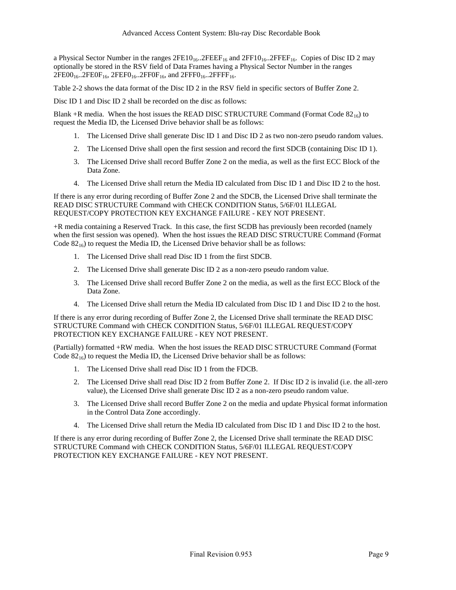a Physical Sector Number in the ranges  $2FE10_{16}$ .  $2FEEF_{16}$  and  $2FF10_{16}$ .  $2FFEF_{16}$ . Copies of Disc ID 2 may optionally be stored in the RSV field of Data Frames having a Physical Sector Number in the ranges  $2FE00_{16}$ ..2FE0F<sub>16</sub>,  $2FEF0_{16}$ ..2FF0F<sub>16</sub>, and  $2FFF0_{16}$ ..2FFFF<sub>16</sub>.

Table 2-2 shows the data format of the Disc ID 2 in the RSV field in specific sectors of Buffer Zone 2.

Disc ID 1 and Disc ID 2 shall be recorded on the disc as follows:

Blank  $+R$  media. When the host issues the READ DISC STRUCTURE Command (Format Code  $82_{16}$ ) to request the Media ID, the Licensed Drive behavior shall be as follows:

- 1. The Licensed Drive shall generate Disc ID 1 and Disc ID 2 as two non-zero pseudo random values.
- 2. The Licensed Drive shall open the first session and record the first SDCB (containing Disc ID 1).
- 3. The Licensed Drive shall record Buffer Zone 2 on the media, as well as the first ECC Block of the Data Zone.
- 4. The Licensed Drive shall return the Media ID calculated from Disc ID 1 and Disc ID 2 to the host.

If there is any error during recording of Buffer Zone 2 and the SDCB, the Licensed Drive shall terminate the READ DISC STRUCTURE Command with CHECK CONDITION Status, 5/6F/01 ILLEGAL REQUEST/COPY PROTECTION KEY EXCHANGE FAILURE - KEY NOT PRESENT.

+R media containing a Reserved Track. In this case, the first SCDB has previously been recorded (namely when the first session was opened). When the host issues the READ DISC STRUCTURE Command (Format Code  $82_{16}$ ) to request the Media ID, the Licensed Drive behavior shall be as follows:

- 1. The Licensed Drive shall read Disc ID 1 from the first SDCB.
- 2. The Licensed Drive shall generate Disc ID 2 as a non-zero pseudo random value.
- 3. The Licensed Drive shall record Buffer Zone 2 on the media, as well as the first ECC Block of the Data Zone.
- 4. The Licensed Drive shall return the Media ID calculated from Disc ID 1 and Disc ID 2 to the host.

If there is any error during recording of Buffer Zone 2, the Licensed Drive shall terminate the READ DISC STRUCTURE Command with CHECK CONDITION Status, 5/6F/01 ILLEGAL REQUEST/COPY PROTECTION KEY EXCHANGE FAILURE - KEY NOT PRESENT.

(Partially) formatted +RW media. When the host issues the READ DISC STRUCTURE Command (Format Code  $82_{16}$ ) to request the Media ID, the Licensed Drive behavior shall be as follows:

- 1. The Licensed Drive shall read Disc ID 1 from the FDCB.
- 2. The Licensed Drive shall read Disc ID 2 from Buffer Zone 2. If Disc ID 2 is invalid (i.e. the all-zero value), the Licensed Drive shall generate Disc ID 2 as a non-zero pseudo random value.
- 3. The Licensed Drive shall record Buffer Zone 2 on the media and update Physical format information in the Control Data Zone accordingly.
- 4. The Licensed Drive shall return the Media ID calculated from Disc ID 1 and Disc ID 2 to the host.

If there is any error during recording of Buffer Zone 2, the Licensed Drive shall terminate the READ DISC STRUCTURE Command with CHECK CONDITION Status, 5/6F/01 ILLEGAL REQUEST/COPY PROTECTION KEY EXCHANGE FAILURE - KEY NOT PRESENT.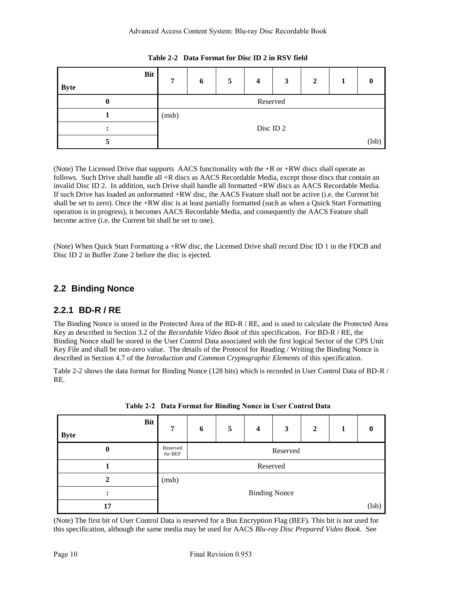| <b>Byte</b> | <b>Bit</b> | 7     | 6 | 5 | $\boldsymbol{4}$ | 3 | $\overline{2}$ | 1 |       |
|-------------|------------|-------|---|---|------------------|---|----------------|---|-------|
| 0           |            |       |   |   | Reserved         |   |                |   |       |
|             |            | (msb) |   |   |                  |   |                |   |       |
|             |            |       |   |   | Disc ID 2        |   |                |   |       |
|             |            |       |   |   |                  |   |                |   | (lsb) |

**Table 2-2 Data Format for Disc ID 2 in RSV field**

(Note) The Licensed Drive that supports AACS functionality with the +R or +RW discs shall operate as follows. Such Drive shall handle all +R discs as AACS Recordable Media, except those discs that contain an invalid Disc ID 2. In addition, such Drive shall handle all formatted +RW discs as AACS Recordable Media. If such Drive has loaded an unformatted +RW disc, the AACS Feature shall not be active (i.e. the Current bit shall be set to zero). Once the +RW disc is at least partially formatted (such as when a Quick Start Formatting operation is in progress), it becomes AACS Recordable Media, and consequently the AACS Feature shall become active (i.e. the Current bit shall be set to one).

(Note) When Quick Start Formatting a +RW disc, the Licensed Drive shall record Disc ID 1 in the FDCB and Disc ID 2 in Buffer Zone 2 before the disc is ejected.

## **2.2 Binding Nonce**

#### **2.2.1 BD-R / RE**

The Binding Nonce is stored in the Protected Area of the BD-R / RE, and is used to calculate the Protected Area Key as described in Section 3.2 of the *Recordable Video Book* of this specification. For BD-R / RE, the Binding Nonce shall be stored in the User Control Data associated with the first logical Sector of the CPS Unit Key File and shall be non-zero value. The details of the Protocol for Reading / Writing the Binding Nonce is described in Section 4.7 of the *Introduction and Common Cryptographic Elements* of this specification.

[Table 2-2](#page-21-0) shows the data format for Binding Nonce (128 bits) which is recorded in User Control Data of BD-R / RE.

<span id="page-21-0"></span>

| <b>Byte</b> | <b>Bit</b> | 7                   | 6 | 5 | $\overline{\mathbf{4}}$ | $\mathbf{3}$ | $\overline{2}$ | 1 | 0     |
|-------------|------------|---------------------|---|---|-------------------------|--------------|----------------|---|-------|
| $\bf{0}$    |            | Reserved<br>for BEF |   |   |                         | Reserved     |                |   |       |
|             |            | Reserved            |   |   |                         |              |                |   |       |
| າ           |            | (msb)               |   |   |                         |              |                |   |       |
|             |            |                     |   |   | <b>Binding Nonce</b>    |              |                |   |       |
| 17          |            |                     |   |   |                         |              |                |   | (lsb) |

**Table 2-2 Data Format for Binding Nonce in User Control Data**

(Note) The first bit of User Control Data is reserved for a Bus Encryption Flag (BEF). This bit is not used for this specification, although the same media may be used for AACS *Blu-ray Disc Prepared Video Book*. See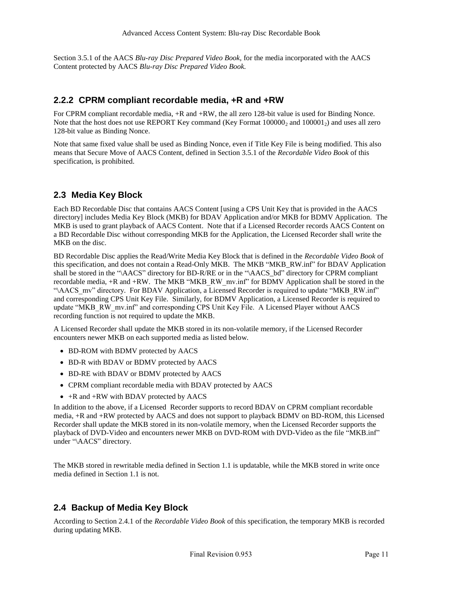Section 3.5.1 of the AACS *Blu-ray Disc Prepared Video Book,* for the media incorporated with the AACS Content protected by AACS *Blu-ray Disc Prepared Video Book.*

#### **2.2.2 CPRM compliant recordable media, +R and +RW**

For CPRM compliant recordable media, +R and +RW, the all zero 128-bit value is used for Binding Nonce. Note that the host does not use REPORT Key command (Key Format  $100000<sub>2</sub>$  and  $100001<sub>2</sub>$ ) and uses all zero 128-bit value as Binding Nonce.

Note that same fixed value shall be used as Binding Nonce, even if Title Key File is being modified. This also means that Secure Move of AACS Content, defined in Section 3.5.1 of the *Recordable Video Book* of this specification, is prohibited.

#### **2.3 Media Key Block**

Each BD Recordable Disc that contains AACS Content [using a CPS Unit Key that is provided in the AACS directory] includes Media Key Block (MKB) for BDAV Application and/or MKB for BDMV Application. The MKB is used to grant playback of AACS Content. Note that if a Licensed Recorder records AACS Content on a BD Recordable Disc without corresponding MKB for the Application, the Licensed Recorder shall write the MKB on the disc.

BD Recordable Disc applies the Read/Write Media Key Block that is defined in the *Recordable Video Book* of this specification, and does not contain a Read-Only MKB. The MKB "MKB\_RW.inf" for BDAV Application shall be stored in the "\AACS" directory for BD-R/RE or in the "\AACS\_bd" directory for CPRM compliant recordable media, +R and +RW. The MKB "MKB\_RW\_mv.inf" for BDMV Application shall be stored in the "\AACS\_mv" directory. For BDAV Application, a Licensed Recorder is required to update "MKB\_RW.inf" and corresponding CPS Unit Key File. Similarly, for BDMV Application, a Licensed Recorder is required to update "MKB\_RW\_mv.inf" and corresponding CPS Unit Key File. A Licensed Player without AACS recording function is not required to update the MKB.

A Licensed Recorder shall update the MKB stored in its non-volatile memory, if the Licensed Recorder encounters newer MKB on each supported media as listed below.

- BD-ROM with BDMV protected by AACS
- BD-R with BDAV or BDMV protected by AACS
- BD-RE with BDAV or BDMV protected by AACS
- CPRM compliant recordable media with BDAV protected by AACS
- $\bullet$  +R and +RW with BDAV protected by AACS

In addition to the above, if a Licensed Recorder supports to record BDAV on CPRM compliant recordable media, +R and +RW protected by AACS and does not support to playback BDMV on BD-ROM, this Licensed Recorder shall update the MKB stored in its non-volatile memory, when the Licensed Recorder supports the playback of DVD-Video and encounters newer MKB on DVD-ROM with DVD-Video as the file "MKB.inf" under "\AACS" directory.

The MKB stored in rewritable media defined in Section [1.1](#page-12-0) is updatable, while the MKB stored in write once media defined in Section [1.1](#page-12-0) is not.

#### **2.4 Backup of Media Key Block**

According to Section 2.4.1 of the *Recordable Video Book* of this specification, the temporary MKB is recorded during updating MKB.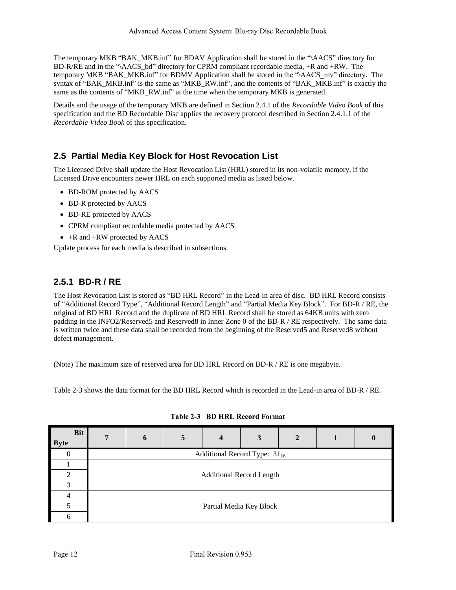The temporary MKB "BAK\_MKB.inf" for BDAV Application shall be stored in the "\AACS" directory for BD-R/RE and in the "\AACS\_bd" directory for CPRM compliant recordable media, +R and +RW. The temporary MKB "BAK\_MKB.inf" for BDMV Application shall be stored in the "\AACS\_mv" directory. The syntax of "BAK\_MKB.inf" is the same as "MKB\_RW.inf", and the contents of "BAK\_MKB.inf" is exactly the same as the contents of "MKB\_RW.inf" at the time when the temporary MKB is generated.

Details and the usage of the temporary MKB are defined in Section 2.4.1 of the *Recordable Video Book* of this specification and the BD Recordable Disc applies the recovery protocol described in Section 2.4.1.1 of the *Recordable Video Book* of this specification.

## **2.5 Partial Media Key Block for Host Revocation List**

The Licensed Drive shall update the Host Revocation List (HRL) stored in its non-volatile memory, if the Licensed Drive encounters newer HRL on each supported media as listed below.

- BD-ROM protected by AACS
- BD-R protected by AACS
- BD-RE protected by AACS
- CPRM compliant recordable media protected by AACS
- $\bullet$  +R and +RW protected by AACS

Update process for each media is described in subsections.

## **2.5.1 BD-R / RE**

The Host Revocation List is stored as "BD HRL Record" in the Lead-in area of disc. BD HRL Record consists of "Additional Record Type", "Additional Record Length" and "Partial Media Key Block". For BD-R / RE, the original of BD HRL Record and the duplicate of BD HRL Record shall be stored as 64KB units with zero padding in the INFO2/Reserved5 and Reserved8 in Inner Zone 0 of the BD-R / RE respectively. The same data is written twice and these data shall be recorded from the beginning of the Reserved5 and Reserved8 without defect management.

(Note) The maximum size of reserved area for BD HRL Record on BD-R / RE is one megabyte.

[Table 2-3](#page-23-0) shows the data format for the BD HRL Record which is recorded in the Lead-in area of BD-R / RE.

<span id="page-23-0"></span>

| <b>Bit</b><br><b>Byte</b> | 7 | 6                                        | 5 | $\boldsymbol{4}$        | 3 |  |  |  |  |
|---------------------------|---|------------------------------------------|---|-------------------------|---|--|--|--|--|
|                           |   | Additional Record Type: 31 <sub>16</sub> |   |                         |   |  |  |  |  |
|                           |   |                                          |   |                         |   |  |  |  |  |
|                           |   | <b>Additional Record Length</b>          |   |                         |   |  |  |  |  |
|                           |   |                                          |   |                         |   |  |  |  |  |
|                           |   |                                          |   |                         |   |  |  |  |  |
|                           |   |                                          |   | Partial Media Key Block |   |  |  |  |  |
|                           |   |                                          |   |                         |   |  |  |  |  |

#### **Table 2-3 BD HRL Record Format**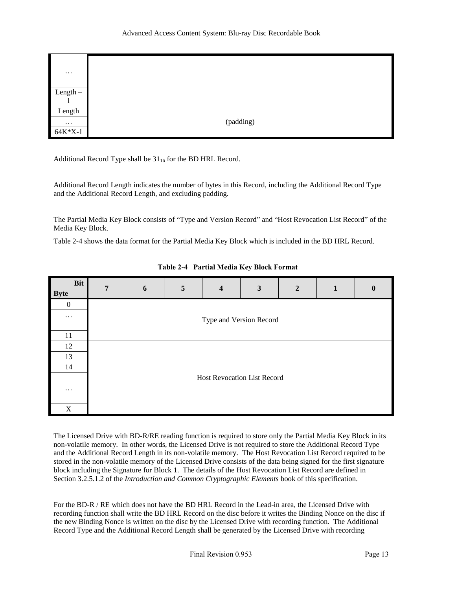| $\cdots$   |           |
|------------|-----------|
| $Length -$ |           |
| Length     |           |
| $\cdots$   | (padding) |
| 64K*X-1    |           |

Additional Record Type shall be  $31_{16}$  for the BD HRL Record.

Additional Record Length indicates the number of bytes in this Record, including the Additional Record Type and the Additional Record Length, and excluding padding.

The Partial Media Key Block consists of "Type and Version Record" and "Host Revocation List Record" of the Media Key Block.

[Table 2-4](#page-24-0) shows the data format for the Partial Media Key Block which is included in the BD HRL Record.

<span id="page-24-0"></span>

| <b>Bit</b><br><b>Byte</b> | $\overline{7}$ | 6                           | 5                       | $\overline{\mathbf{4}}$ | 3 | $\overline{2}$ | 1 | 0 |
|---------------------------|----------------|-----------------------------|-------------------------|-------------------------|---|----------------|---|---|
| $\boldsymbol{0}$          |                |                             |                         |                         |   |                |   |   |
| $\cdots$                  |                |                             | Type and Version Record |                         |   |                |   |   |
| 11                        |                |                             |                         |                         |   |                |   |   |
| 12                        |                |                             |                         |                         |   |                |   |   |
| 13                        |                |                             |                         |                         |   |                |   |   |
| 14                        |                |                             |                         |                         |   |                |   |   |
|                           |                | Host Revocation List Record |                         |                         |   |                |   |   |
| $\cdots$                  |                |                             |                         |                         |   |                |   |   |
|                           |                |                             |                         |                         |   |                |   |   |
| X                         |                |                             |                         |                         |   |                |   |   |

#### **Table 2-4 Partial Media Key Block Format**

The Licensed Drive with BD-R/RE reading function is required to store only the Partial Media Key Block in its non-volatile memory. In other words, the Licensed Drive is not required to store the Additional Record Type and the Additional Record Length in its non-volatile memory. The Host Revocation List Record required to be stored in the non-volatile memory of the Licensed Drive consists of the data being signed for the first signature block including the Signature for Block 1. The details of the Host Revocation List Record are defined in Section 3.2.5.1.2 of the *Introduction and Common Cryptographic Elements* book of this specification.

For the BD-R / RE which does not have the BD HRL Record in the Lead-in area, the Licensed Drive with recording function shall write the BD HRL Record on the disc before it writes the Binding Nonce on the disc if the new Binding Nonce is written on the disc by the Licensed Drive with recording function. The Additional Record Type and the Additional Record Length shall be generated by the Licensed Drive with recording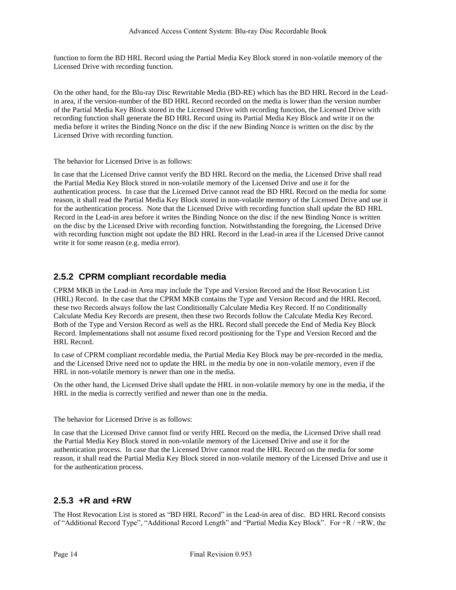function to form the BD HRL Record using the Partial Media Key Block stored in non-volatile memory of the Licensed Drive with recording function.

On the other hand, for the Blu-ray Disc Rewritable Media (BD-RE) which has the BD HRL Record in the Leadin area, if the version-number of the BD HRL Record recorded on the media is lower than the version number of the Partial Media Key Block stored in the Licensed Drive with recording function, the Licensed Drive with recording function shall generate the BD HRL Record using its Partial Media Key Block and write it on the media before it writes the Binding Nonce on the disc if the new Binding Nonce is written on the disc by the Licensed Drive with recording function.

The behavior for Licensed Drive is as follows:

In case that the Licensed Drive cannot verify the BD HRL Record on the media, the Licensed Drive shall read the Partial Media Key Block stored in non-volatile memory of the Licensed Drive and use it for the authentication process. In case that the Licensed Drive cannot read the BD HRL Record on the media for some reason, it shall read the Partial Media Key Block stored in non-volatile memory of the Licensed Drive and use it for the authentication process. Note that the Licensed Drive with recording function shall update the BD HRL Record in the Lead-in area before it writes the Binding Nonce on the disc if the new Binding Nonce is written on the disc by the Licensed Drive with recording function. Notwithstanding the foregoing, the Licensed Drive with recording function might not update the BD HRL Record in the Lead-in area if the Licensed Drive cannot write it for some reason (e.g. media error).

#### **2.5.2 CPRM compliant recordable media**

CPRM MKB in the Lead-in Area may include the Type and Version Record and the Host Revocation List (HRL) Record. In the case that the CPRM MKB contains the Type and Version Record and the HRL Record, these two Records always follow the last Conditionally Calculate Media Key Record. If no Conditionally Calculate Media Key Records are present, then these two Records follow the Calculate Media Key Record. Both of the Type and Version Record as well as the HRL Record shall precede the End of Media Key Block Record. Implementations shall not assume fixed record positioning for the Type and Version Record and the HRL Record.

In case of CPRM compliant recordable media, the Partial Media Key Block may be pre-recorded in the media, and the Licensed Drive need not to update the HRL in the media by one in non-volatile memory, even if the HRL in non-volatile memory is newer than one in the media.

On the other hand, the Licensed Drive shall update the HRL in non-volatile memory by one in the media, if the HRL in the media is correctly verified and newer than one in the media.

The behavior for Licensed Drive is as follows:

In case that the Licensed Drive cannot find or verify HRL Record on the media, the Licensed Drive shall read the Partial Media Key Block stored in non-volatile memory of the Licensed Drive and use it for the authentication process. In case that the Licensed Drive cannot read the HRL Record on the media for some reason, it shall read the Partial Media Key Block stored in non-volatile memory of the Licensed Drive and use it for the authentication process.

#### **2.5.3 +R and +RW**

The Host Revocation List is stored as "BD HRL Record" in the Lead-in area of disc. BD HRL Record consists of "Additional Record Type", "Additional Record Length" and "Partial Media Key Block". For +R / +RW, the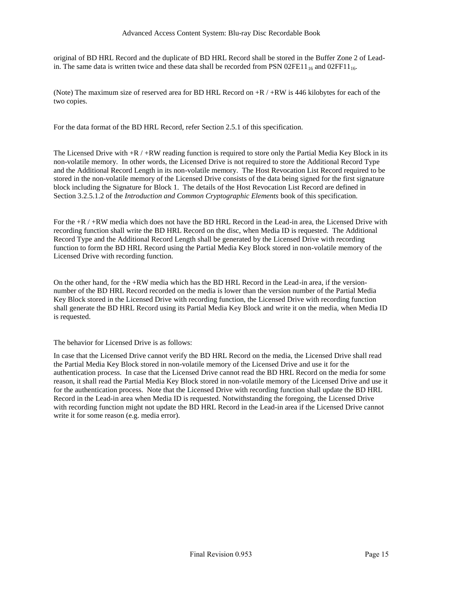original of BD HRL Record and the duplicate of BD HRL Record shall be stored in the Buffer Zone 2 of Leadin. The same data is written twice and these data shall be recorded from PSN 02FE11 $_{16}$  and 02FF11 $_{16}$ .

(Note) The maximum size of reserved area for BD HRL Record on  $+R$  /  $+RW$  is 446 kilobytes for each of the two copies.

For the data format of the BD HRL Record, refer Section 2.5.1 of this specification.

The Licensed Drive with  $+R$  /  $+RW$  reading function is required to store only the Partial Media Key Block in its non-volatile memory. In other words, the Licensed Drive is not required to store the Additional Record Type and the Additional Record Length in its non-volatile memory. The Host Revocation List Record required to be stored in the non-volatile memory of the Licensed Drive consists of the data being signed for the first signature block including the Signature for Block 1. The details of the Host Revocation List Record are defined in Section 3.2.5.1.2 of the *Introduction and Common Cryptographic Elements* book of this specification.

For the +R / +RW media which does not have the BD HRL Record in the Lead-in area, the Licensed Drive with recording function shall write the BD HRL Record on the disc, when Media ID is requested. The Additional Record Type and the Additional Record Length shall be generated by the Licensed Drive with recording function to form the BD HRL Record using the Partial Media Key Block stored in non-volatile memory of the Licensed Drive with recording function.

On the other hand, for the +RW media which has the BD HRL Record in the Lead-in area, if the versionnumber of the BD HRL Record recorded on the media is lower than the version number of the Partial Media Key Block stored in the Licensed Drive with recording function, the Licensed Drive with recording function shall generate the BD HRL Record using its Partial Media Key Block and write it on the media, when Media ID is requested.

The behavior for Licensed Drive is as follows:

In case that the Licensed Drive cannot verify the BD HRL Record on the media, the Licensed Drive shall read the Partial Media Key Block stored in non-volatile memory of the Licensed Drive and use it for the authentication process. In case that the Licensed Drive cannot read the BD HRL Record on the media for some reason, it shall read the Partial Media Key Block stored in non-volatile memory of the Licensed Drive and use it for the authentication process. Note that the Licensed Drive with recording function shall update the BD HRL Record in the Lead-in area when Media ID is requested. Notwithstanding the foregoing, the Licensed Drive with recording function might not update the BD HRL Record in the Lead-in area if the Licensed Drive cannot write it for some reason (e.g. media error).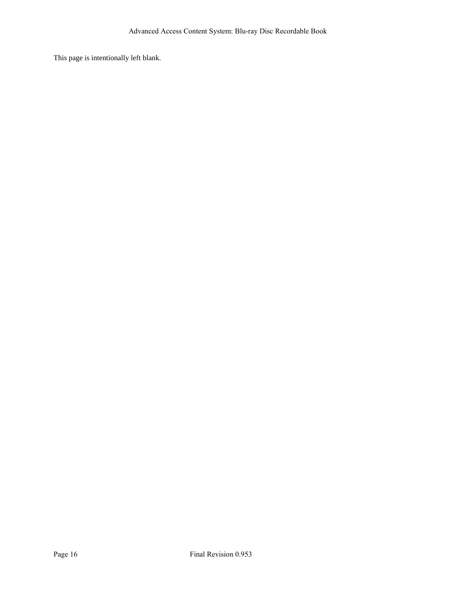This page is intentionally left blank.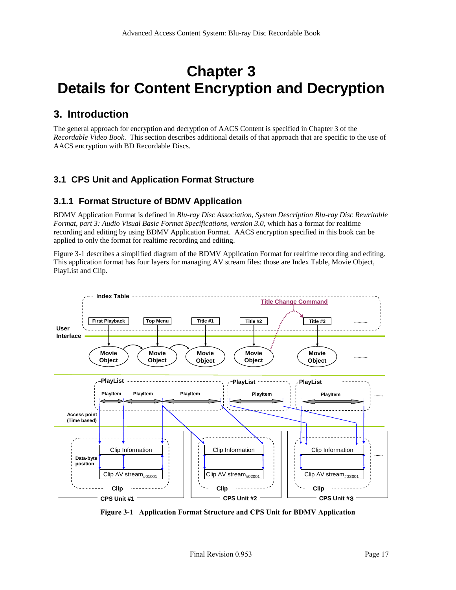# **Chapter 3 Details for Content Encryption and Decryption**

## **3. Introduction**

The general approach for encryption and decryption of AACS Content is specified in Chapter 3 of the *Recordable Video Book*. This section describes additional details of that approach that are specific to the use of AACS encryption with BD Recordable Discs.

## **3.1 CPS Unit and Application Format Structure**

#### **3.1.1 Format Structure of BDMV Application**

BDMV Application Format is defined in *Blu-ray Disc Association, System Description Blu-ray Disc Rewritable Format, part 3: Audio Visual Basic Format Specifications, version 3.0*, which has a format for realtime recording and editing by using BDMV Application Format. AACS encryption specified in this book can be applied to only the format for realtime recording and editing.

[Figure 3-1](#page-28-0) describes a simplified diagram of the BDMV Application Format for realtime recording and editing. This application format has four layers for managing AV stream files: those are Index Table, Movie Object, PlayList and Clip.



<span id="page-28-0"></span>**Figure 3-1 Application Format Structure and CPS Unit for BDMV Application**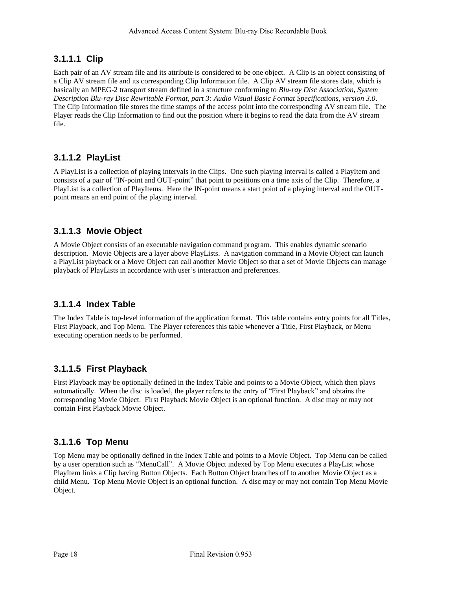## **3.1.1.1 Clip**

Each pair of an AV stream file and its attribute is considered to be one object. A Clip is an object consisting of a Clip AV stream file and its corresponding Clip Information file. A Clip AV stream file stores data, which is basically an MPEG-2 transport stream defined in a structure conforming to *Blu-ray Disc Association, System Description Blu-ray Disc Rewritable Format, part 3: Audio Visual Basic Format Specifications, version 3.0*. The Clip Information file stores the time stamps of the access point into the corresponding AV stream file. The Player reads the Clip Information to find out the position where it begins to read the data from the AV stream file.

## **3.1.1.2 PlayList**

A PlayList is a collection of playing intervals in the Clips. One such playing interval is called a PlayItem and consists of a pair of "IN-point and OUT-point" that point to positions on a time axis of the Clip. Therefore, a PlayList is a collection of PlayItems. Here the IN-point means a start point of a playing interval and the OUTpoint means an end point of the playing interval.

## **3.1.1.3 Movie Object**

A Movie Object consists of an executable navigation command program. This enables dynamic scenario description. Movie Objects are a layer above PlayLists. A navigation command in a Movie Object can launch a PlayList playback or a Move Object can call another Movie Object so that a set of Movie Objects can manage playback of PlayLists in accordance with user's interaction and preferences.

## **3.1.1.4 Index Table**

The Index Table is top-level information of the application format. This table contains entry points for all Titles, First Playback, and Top Menu. The Player references this table whenever a Title, First Playback, or Menu executing operation needs to be performed.

#### **3.1.1.5 First Playback**

First Playback may be optionally defined in the Index Table and points to a Movie Object, which then plays automatically. When the disc is loaded, the player refers to the entry of "First Playback" and obtains the corresponding Movie Object. First Playback Movie Object is an optional function. A disc may or may not contain First Playback Movie Object.

#### **3.1.1.6 Top Menu**

Top Menu may be optionally defined in the Index Table and points to a Movie Object. Top Menu can be called by a user operation such as "MenuCall". A Movie Object indexed by Top Menu executes a PlayList whose PlayItem links a Clip having Button Objects. Each Button Object branches off to another Movie Object as a child Menu. Top Menu Movie Object is an optional function. A disc may or may not contain Top Menu Movie Object.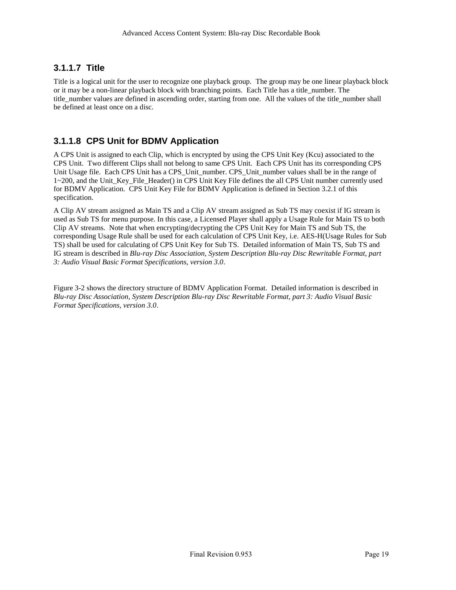#### **3.1.1.7 Title**

Title is a logical unit for the user to recognize one playback group. The group may be one linear playback block or it may be a non-linear playback block with branching points. Each Title has a title\_number. The title\_number values are defined in ascending order, starting from one. All the values of the title\_number shall be defined at least once on a disc.

## **3.1.1.8 CPS Unit for BDMV Application**

A CPS Unit is assigned to each Clip, which is encrypted by using the CPS Unit Key (Kcu) associated to the CPS Unit. Two different Clips shall not belong to same CPS Unit. Each CPS Unit has its corresponding CPS Unit Usage file. Each CPS Unit has a CPS\_Unit\_number. CPS\_Unit\_number values shall be in the range of 1~200, and the Unit\_Key\_File\_Header() in CPS Unit Key File defines the all CPS Unit number currently used for BDMV Application. CPS Unit Key File for BDMV Application is defined in Section [3.2.1](#page-35-0) of this specification.

A Clip AV stream assigned as Main TS and a Clip AV stream assigned as Sub TS may coexist if IG stream is used as Sub TS for menu purpose. In this case, a Licensed Player shall apply a Usage Rule for Main TS to both Clip AV streams. Note that when encrypting/decrypting the CPS Unit Key for Main TS and Sub TS, the corresponding Usage Rule shall be used for each calculation of CPS Unit Key, i.e. AES-H(Usage Rules for Sub TS) shall be used for calculating of CPS Unit Key for Sub TS. Detailed information of Main TS, Sub TS and IG stream is described in *Blu-ray Disc Association, System Description Blu-ray Disc Rewritable Format, part 3: Audio Visual Basic Format Specifications, version 3.0*.

[Figure 3-2](#page-31-0) shows the directory structure of BDMV Application Format. Detailed information is described in *Blu-ray Disc Association, System Description Blu-ray Disc Rewritable Format, part 3: Audio Visual Basic Format Specifications, version 3.0*.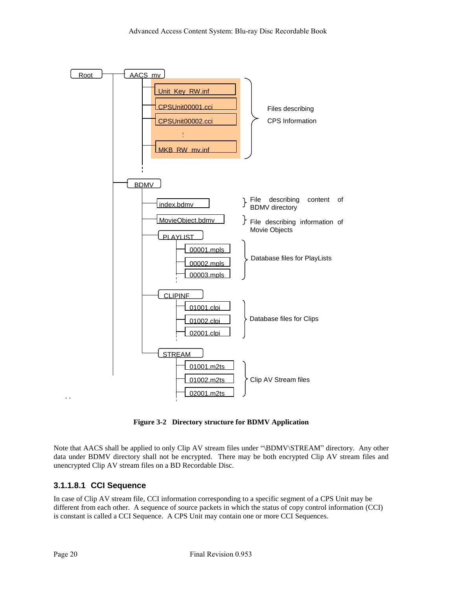

**Figure 3-2 Directory structure for BDMV Application**

<span id="page-31-0"></span>Note that AACS shall be applied to only Clip AV stream files under "\BDMV\STREAM" directory. Any other data under BDMV directory shall not be encrypted. There may be both encrypted Clip AV stream files and unencrypted Clip AV stream files on a BD Recordable Disc.

#### **3.1.1.8.1 CCI Sequence**

In case of Clip AV stream file, CCI information corresponding to a specific segment of a CPS Unit may be different from each other. A sequence of source packets in which the status of copy control information (CCI) is constant is called a CCI Sequence. A CPS Unit may contain one or more CCI Sequences.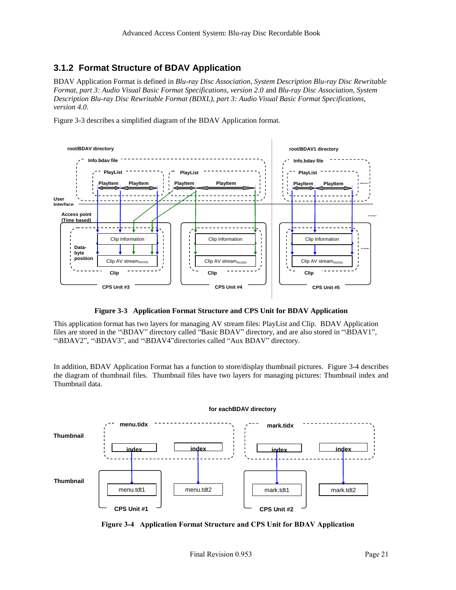## **3.1.2 Format Structure of BDAV Application**

BDAV Application Format is defined in *Blu-ray Disc Association, System Description Blu-ray Disc Rewritable Format, part 3: Audio Visual Basic Format Specifications, version 2.0* and *Blu-ray Disc Association, System Description Blu-ray Disc Rewritable Format (BDXL), part 3: Audio Visual Basic Format Specifications, version 4.0*.



[Figure 3-3](#page-32-0) describes a simplified diagram of the BDAV Application format.

**Figure 3-3 Application Format Structure and CPS Unit for BDAV Application**

<span id="page-32-0"></span>This application format has two layers for managing AV stream files: PlayList and Clip. BDAV Application files are stored in the "\BDAV" directory called "Basic BDAV" directory, and are also stored in "\BDAV1", "\BDAV2", "\BDAV3", and "\BDAV4"directories called "Aux BDAV" directory.

In addition, BDAV Application Format has a function to store/display thumbnail pictures. [Figure 3-4](#page-32-1) describes the diagram of thumbnail files. Thumbnail files have two layers for managing pictures: Thumbnail index and Thumbnail data.



<span id="page-32-1"></span>**Figure 3-4 Application Format Structure and CPS Unit for BDAV Application**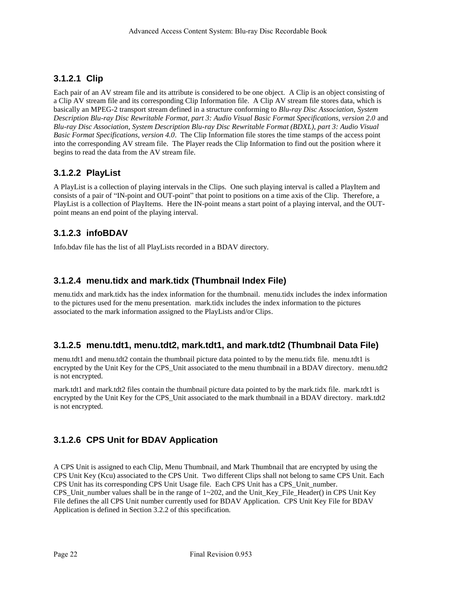## **3.1.2.1 Clip**

Each pair of an AV stream file and its attribute is considered to be one object. A Clip is an object consisting of a Clip AV stream file and its corresponding Clip Information file. A Clip AV stream file stores data, which is basically an MPEG-2 transport stream defined in a structure conforming to *Blu-ray Disc Association, System Description Blu-ray Disc Rewritable Format, part 3: Audio Visual Basic Format Specifications, version 2.0* and *Blu-ray Disc Association, System Description Blu-ray Disc Rewritable Format (BDXL), part 3: Audio Visual Basic Format Specifications, version 4.0*. The Clip Information file stores the time stamps of the access point into the corresponding AV stream file. The Player reads the Clip Information to find out the position where it begins to read the data from the AV stream file.

## **3.1.2.2 PlayList**

A PlayList is a collection of playing intervals in the Clips. One such playing interval is called a PlayItem and consists of a pair of "IN-point and OUT-point" that point to positions on a time axis of the Clip. Therefore, a PlayList is a collection of PlayItems. Here the IN-point means a start point of a playing interval, and the OUTpoint means an end point of the playing interval.

## **3.1.2.3 infoBDAV**

Info.bdav file has the list of all PlayLists recorded in a BDAV directory.

## **3.1.2.4 menu.tidx and mark.tidx (Thumbnail Index File)**

menu.tidx and mark.tidx has the index information for the thumbnail. menu.tidx includes the index information to the pictures used for the menu presentation. mark.tidx includes the index information to the pictures associated to the mark information assigned to the PlayLists and/or Clips.

#### **3.1.2.5 menu.tdt1, menu.tdt2, mark.tdt1, and mark.tdt2 (Thumbnail Data File)**

menu.tdt1 and menu.tdt2 contain the thumbnail picture data pointed to by the menu.tidx file. menu.tdt1 is encrypted by the Unit Key for the CPS\_Unit associated to the menu thumbnail in a BDAV directory. menu.tdt2 is not encrypted.

mark.tdt1 and mark.tdt2 files contain the thumbnail picture data pointed to by the mark.tidx file. mark.tdt1 is encrypted by the Unit Key for the CPS\_Unit associated to the mark thumbnail in a BDAV directory. mark.tdt2 is not encrypted.

## **3.1.2.6 CPS Unit for BDAV Application**

A CPS Unit is assigned to each Clip, Menu Thumbnail, and Mark Thumbnail that are encrypted by using the CPS Unit Key (Kcu) associated to the CPS Unit. Two different Clips shall not belong to same CPS Unit. Each CPS Unit has its corresponding CPS Unit Usage file. Each CPS Unit has a CPS\_Unit\_number. CPS Unit number values shall be in the range of  $1~202$ , and the Unit Key File Header() in CPS Unit Key File defines the all CPS Unit number currently used for BDAV Application. CPS Unit Key File for BDAV Application is defined in Section [3.2.2](#page-39-0) of this specification.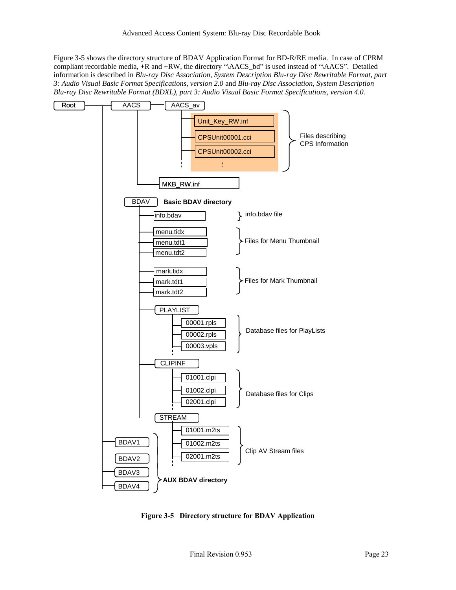[Figure 3-5](#page-34-0) shows the directory structure of BDAV Application Format for BD-R/RE media. In case of CPRM compliant recordable media, +R and +RW, the directory "\AACS\_bd" is used instead of "\AACS". Detailed information is described in *Blu-ray Disc Association, System Description Blu-ray Disc Rewritable Format, part 3: Audio Visual Basic Format Specifications, version 2.0* and *Blu-ray Disc Association, System Description Blu-ray Disc Rewritable Format (BDXL), part 3: Audio Visual Basic Format Specifications, version 4.0*.



<span id="page-34-0"></span>**Figure 3-5 Directory structure for BDAV Application**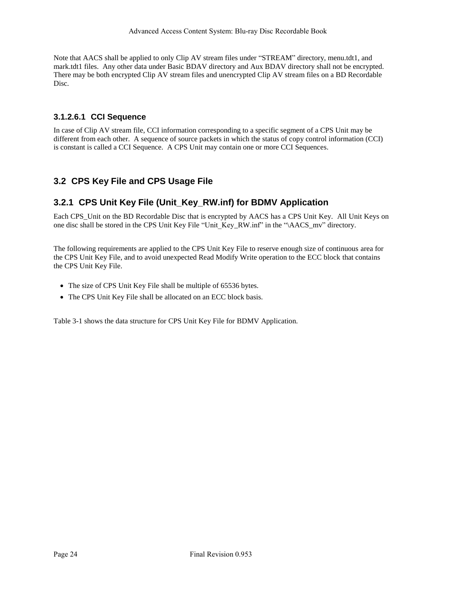Note that AACS shall be applied to only Clip AV stream files under "STREAM" directory, menu.tdt1, and mark.tdt1 files. Any other data under Basic BDAV directory and Aux BDAV directory shall not be encrypted. There may be both encrypted Clip AV stream files and unencrypted Clip AV stream files on a BD Recordable Disc.

#### **3.1.2.6.1 CCI Sequence**

In case of Clip AV stream file, CCI information corresponding to a specific segment of a CPS Unit may be different from each other. A sequence of source packets in which the status of copy control information (CCI) is constant is called a CCI Sequence. A CPS Unit may contain one or more CCI Sequences.

## **3.2 CPS Key File and CPS Usage File**

## <span id="page-35-0"></span>**3.2.1 CPS Unit Key File (Unit\_Key\_RW.inf) for BDMV Application**

Each CPS\_Unit on the BD Recordable Disc that is encrypted by AACS has a CPS Unit Key. All Unit Keys on one disc shall be stored in the CPS Unit Key File "Unit\_Key\_RW.inf" in the "\AACS\_mv" directory.

The following requirements are applied to the CPS Unit Key File to reserve enough size of continuous area for the CPS Unit Key File, and to avoid unexpected Read Modify Write operation to the ECC block that contains the CPS Unit Key File.

- The size of CPS Unit Key File shall be multiple of 65536 bytes.
- The CPS Unit Key File shall be allocated on an ECC block basis.

[Table 3-1](#page-36-0) shows the data structure for CPS Unit Key File for BDMV Application.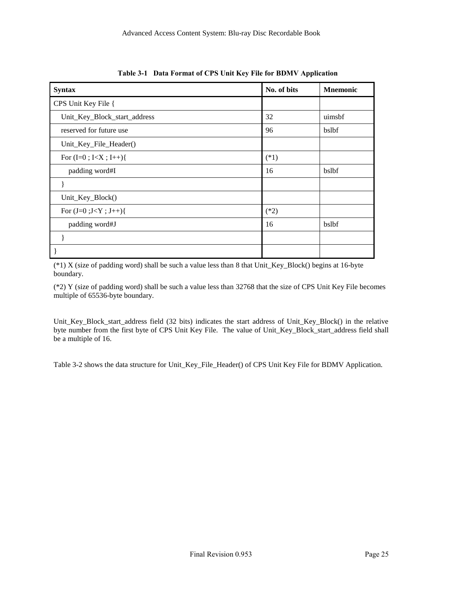<span id="page-36-0"></span>

| <b>Syntax</b>                | No. of bits | <b>Mnemonic</b> |
|------------------------------|-------------|-----------------|
| CPS Unit Key File {          |             |                 |
| Unit_Key_Block_start_address | 32          | uimsbf          |
| reserved for future use      | 96          | bslbf           |
| Unit_Key_File_Header()       |             |                 |
| For $(I=0; I$                | $(*1)$      |                 |
| padding word#I               | 16          | bslbf           |
|                              |             |                 |
| Unit_Key_Block()             |             |                 |
| For $(J=0; J$                | $(*2)$      |                 |
| padding word#J               | 16          | bslbf           |
|                              |             |                 |
|                              |             |                 |

**Table 3-1 Data Format of CPS Unit Key File for BDMV Application**

(\*1) X (size of padding word) shall be such a value less than 8 that Unit\_Key\_Block() begins at 16-byte boundary.

(\*2) Y (size of padding word) shall be such a value less than 32768 that the size of CPS Unit Key File becomes multiple of 65536-byte boundary.

Unit\_Key\_Block\_start\_address field (32 bits) indicates the start address of Unit\_Key\_Block() in the relative byte number from the first byte of CPS Unit Key File. The value of Unit\_Key\_Block\_start\_address field shall be a multiple of 16.

[Table 3-2](#page-37-0) shows the data structure for Unit\_Key\_File\_Header() of CPS Unit Key File for BDMV Application.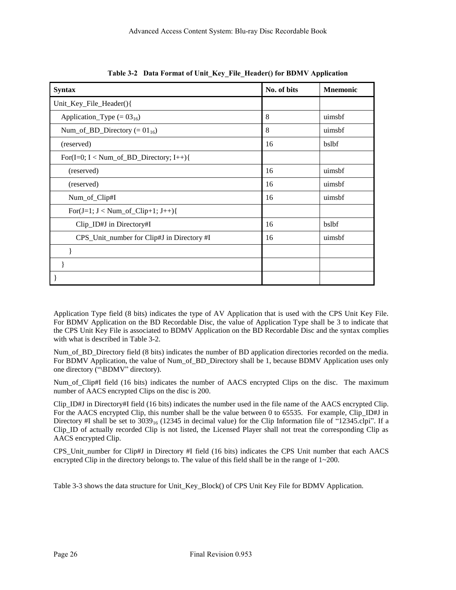<span id="page-37-0"></span>

| <b>Syntax</b>                                 | No. of bits | <b>Mnemonic</b> |
|-----------------------------------------------|-------------|-----------------|
| Unit_Key_File_Header(){                       |             |                 |
| Application_Type $(= 03_{16})$                | 8           | uimsbf          |
| Num_of_BD_Directory $(= 01_{16})$             | 8           | uimsbf          |
| (reserved)                                    | 16          | bslbf           |
| For(I=0; $I < Num\_of\_BD\_Directory; I++)$ { |             |                 |
| (reserved)                                    | 16          | uimsbf          |
| (reserved)                                    | 16          | uimsbf          |
| Num_of_Clip#I                                 | 16          | uimsbf          |
| $For (J=1; J < Num_of_Clip+1; J++)$           |             |                 |
| Clip_ID#J in Directory#I                      | 16          | bslbf           |
| CPS_Unit_number for Clip#J in Directory #I    | 16          | uimsbf          |
|                                               |             |                 |
|                                               |             |                 |
|                                               |             |                 |

**Table 3-2 Data Format of Unit\_Key\_File\_Header() for BDMV Application**

Application Type field (8 bits) indicates the type of AV Application that is used with the CPS Unit Key File. For BDMV Application on the BD Recordable Disc, the value of Application Type shall be 3 to indicate that the CPS Unit Key File is associated to BDMV Application on the BD Recordable Disc and the syntax complies with what is described in [Table 3-2.](#page-37-0)

Num\_of\_BD\_Directory field (8 bits) indicates the number of BD application directories recorded on the media. For BDMV Application, the value of Num\_of\_BD\_Directory shall be 1, because BDMV Application uses only one directory ("\BDMV" directory).

Num\_of\_Clip#I field (16 bits) indicates the number of AACS encrypted Clips on the disc. The maximum number of AACS encrypted Clips on the disc is 200.

Clip\_ID#J in Directory#I field (16 bits) indicates the number used in the file name of the AACS encrypted Clip. For the AACS encrypted Clip, this number shall be the value between 0 to 65535. For example, Clip ID#J in Directory #I shall be set to  $3039_{16}$  (12345 in decimal value) for the Clip Information file of "12345.clpi". If a Clip\_ID of actually recorded Clip is not listed, the Licensed Player shall not treat the corresponding Clip as AACS encrypted Clip.

CPS\_Unit\_number for Clip#J in Directory #I field (16 bits) indicates the CPS Unit number that each AACS encrypted Clip in the directory belongs to. The value of this field shall be in the range of  $1~200$ .

[Table 3-3](#page-38-0) shows the data structure for Unit\_Key\_Block() of CPS Unit Key File for BDMV Application.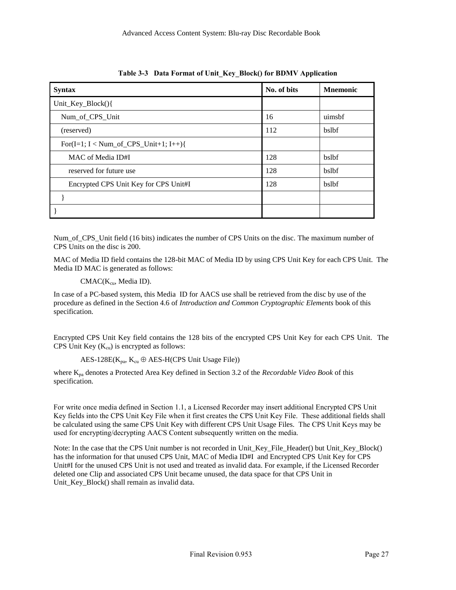<span id="page-38-0"></span>

| <b>Syntax</b>                             | No. of bits | <b>Mnemonic</b> |
|-------------------------------------------|-------------|-----------------|
| Unit_Key_Block(){                         |             |                 |
| Num_of_CPS_Unit                           | 16          | uimsbf          |
| (reserved)                                | 112         | bslbf           |
| For(I=1; $I < Num_of_CPS_Uinit+1$ ; I++){ |             |                 |
| MAC of Media ID#I                         | 128         | bslbf           |
| reserved for future use                   | 128         | bslbf           |
| Encrypted CPS Unit Key for CPS Unit#I     | 128         | bslbf           |
|                                           |             |                 |
|                                           |             |                 |

**Table 3-3 Data Format of Unit\_Key\_Block() for BDMV Application**

Num\_of\_CPS\_Unit field (16 bits) indicates the number of CPS Units on the disc. The maximum number of CPS Units on the disc is 200.

MAC of Media ID field contains the 128-bit MAC of Media ID by using CPS Unit Key for each CPS Unit. The Media ID MAC is generated as follows:

 $CMAC(K<sub>cu</sub>, Media ID).$ 

In case of a PC-based system, this Media ID for AACS use shall be retrieved from the disc by use of the procedure as defined in the Section 4.6 of *Introduction and Common Cryptographic Elements* book of this specification.

Encrypted CPS Unit Key field contains the 128 bits of the encrypted CPS Unit Key for each CPS Unit. The CPS Unit Key  $(K_{cu})$  is encrypted as follows:

AES-128E( $K_{na}$ ,  $K_{cu} \oplus AES-H(CPS \text{ Unit Usage File})$ )

where Kpa denotes a Protected Area Key defined in Section 3.2 of the *Recordable Video Book* of this specification.

For write once media defined in Section [1.1,](#page-12-0) a Licensed Recorder may insert additional Encrypted CPS Unit Key fields into the CPS Unit Key File when it first creates the CPS Unit Key File. These additional fields shall be calculated using the same CPS Unit Key with different CPS Unit Usage Files. The CPS Unit Keys may be used for encrypting/decrypting AACS Content subsequently written on the media.

Note: In the case that the CPS Unit number is not recorded in Unit\_Key\_File\_Header() but Unit\_Key\_Block() has the information for that unused CPS Unit, MAC of Media ID#I and Encrypted CPS Unit Key for CPS Unit#I for the unused CPS Unit is not used and treated as invalid data. For example, if the Licensed Recorder deleted one Clip and associated CPS Unit became unused, the data space for that CPS Unit in Unit\_Key\_Block() shall remain as invalid data.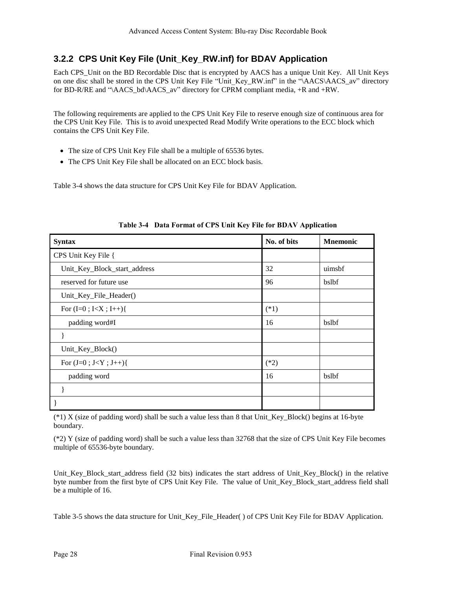## <span id="page-39-0"></span>**3.2.2 CPS Unit Key File (Unit\_Key\_RW.inf) for BDAV Application**

Each CPS\_Unit on the BD Recordable Disc that is encrypted by AACS has a unique Unit Key. All Unit Keys on one disc shall be stored in the CPS Unit Key File "Unit Key\_RW.inf" in the "\AACS\AACS\_av" directory for BD-R/RE and "\AACS\_bd\AACS\_av" directory for CPRM compliant media, +R and +RW.

The following requirements are applied to the CPS Unit Key File to reserve enough size of continuous area for the CPS Unit Key File. This is to avoid unexpected Read Modify Write operations to the ECC block which contains the CPS Unit Key File.

- The size of CPS Unit Key File shall be a multiple of 65536 bytes.
- The CPS Unit Key File shall be allocated on an ECC block basis.

[Table 3-4](#page-39-1) shows the data structure for CPS Unit Key File for BDAV Application.

<span id="page-39-1"></span>

| <b>Syntax</b>                | No. of bits | <b>Mnemonic</b> |
|------------------------------|-------------|-----------------|
| CPS Unit Key File {          |             |                 |
| Unit_Key_Block_start_address | 32          | uimsbf          |
| reserved for future use      | 96          | bslbf           |
| Unit_Key_File_Header()       |             |                 |
| For $(I=0; I$                | $(*1)$      |                 |
| padding word#I               | 16          | bslbf           |
|                              |             |                 |
| Unit_Key_Block()             |             |                 |
| For $(J=0; J$                | $(*2)$      |                 |
| padding word                 | 16          | bslbf           |
|                              |             |                 |
|                              |             |                 |

**Table 3-4 Data Format of CPS Unit Key File for BDAV Application**

(\*1) X (size of padding word) shall be such a value less than 8 that Unit\_Key\_Block() begins at 16-byte boundary.

(\*2) Y (size of padding word) shall be such a value less than 32768 that the size of CPS Unit Key File becomes multiple of 65536-byte boundary.

Unit\_Key\_Block\_start\_address field (32 bits) indicates the start address of Unit\_Key\_Block() in the relative byte number from the first byte of CPS Unit Key File. The value of Unit\_Key\_Block\_start\_address field shall be a multiple of 16.

[Table 3-5](#page-40-0) shows the data structure for Unit\_Key\_File\_Header( ) of CPS Unit Key File for BDAV Application.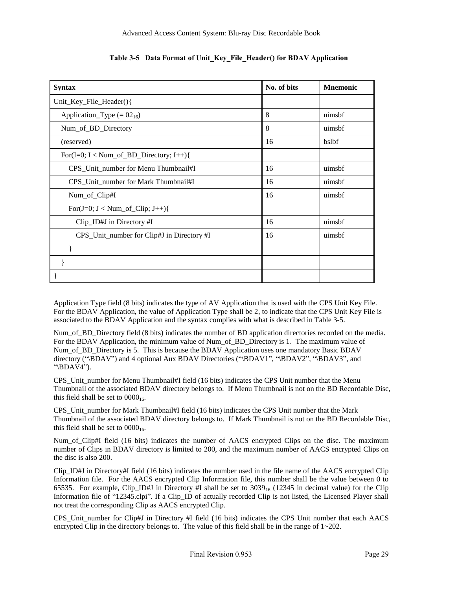| <b>Syntax</b>                                 | No. of bits | <b>Mnemonic</b> |
|-----------------------------------------------|-------------|-----------------|
| Unit_Key_File_Header(){                       |             |                 |
| Application_Type $(= 02_{16})$                | 8           | uimsbf          |
| Num_of_BD_Directory                           | 8           | uimsbf          |
| (reserved)                                    | 16          | bslbf           |
| For(I=0; $I < Num\_of\_BD\_Directory; I++)$ { |             |                 |
| CPS_Unit_number for Menu Thumbnail#I          | 16          | uimsbf          |
| CPS_Unit_number for Mark Thumbnail#I          | 16          | uimsbf          |
| Num_of_Clip#I                                 | 16          | uimsbf          |
| For(J=0; J < Num_of_Clip; J++){               |             |                 |
| Clip_ID#J in Directory #I                     | 16          | uimsbf          |
| CPS_Unit_number for Clip#J in Directory #I    | 16          | uimsbf          |
|                                               |             |                 |
|                                               |             |                 |
|                                               |             |                 |

<span id="page-40-0"></span>**Table 3-5 Data Format of Unit\_Key\_File\_Header() for BDAV Application**

Application Type field (8 bits) indicates the type of AV Application that is used with the CPS Unit Key File. For the BDAV Application, the value of Application Type shall be 2, to indicate that the CPS Unit Key File is associated to the BDAV Application and the syntax complies with what is described in [Table 3-5.](#page-40-0)

Num\_of\_BD\_Directory field (8 bits) indicates the number of BD application directories recorded on the media. For the BDAV Application, the minimum value of Num of BD Directory is 1. The maximum value of Num\_of\_BD\_Directory is 5. This is because the BDAV Application uses one mandatory Basic BDAV directory ("\BDAV") and 4 optional Aux BDAV Directories ("\BDAV1", "\BDAV2", "\BDAV3", and "\BDAV4").

CPS\_Unit\_number for Menu Thumbnail#I field (16 bits) indicates the CPS Unit number that the Menu Thumbnail of the associated BDAV directory belongs to. If Menu Thumbnail is not on the BD Recordable Disc, this field shall be set to  $0000_{16}$ .

CPS\_Unit\_number for Mark Thumbnail#I field (16 bits) indicates the CPS Unit number that the Mark Thumbnail of the associated BDAV directory belongs to. If Mark Thumbnail is not on the BD Recordable Disc, this field shall be set to  $0000_{16}$ .

Num of Clip#I field (16 bits) indicates the number of AACS encrypted Clips on the disc. The maximum number of Clips in BDAV directory is limited to 200, and the maximum number of AACS encrypted Clips on the disc is also 200.

Clip\_ID#J in Directory#I field (16 bits) indicates the number used in the file name of the AACS encrypted Clip Information file. For the AACS encrypted Clip Information file, this number shall be the value between 0 to 65535. For example, Clip\_ID#J in Directory #I shall be set to  $3039_{16}$  (12345 in decimal value) for the Clip Information file of "12345.clpi". If a Clip\_ID of actually recorded Clip is not listed, the Licensed Player shall not treat the corresponding Clip as AACS encrypted Clip.

CPS\_Unit\_number for Clip#J in Directory #I field (16 bits) indicates the CPS Unit number that each AACS encrypted Clip in the directory belongs to. The value of this field shall be in the range of 1~202.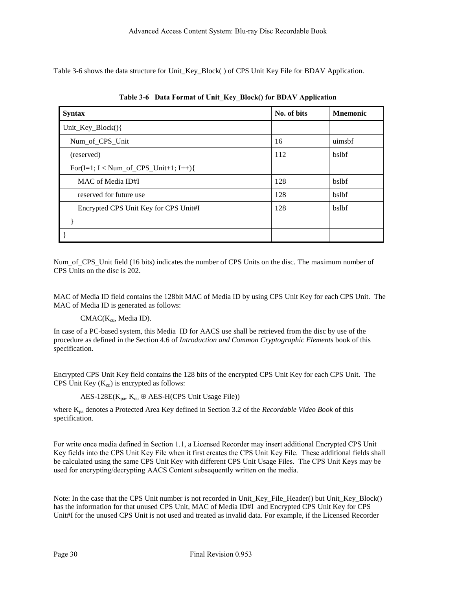[Table 3-6](#page-41-0) shows the data structure for Unit\_Key\_Block() of CPS Unit Key File for BDAV Application.

<span id="page-41-0"></span>

| <b>Syntax</b>                            | No. of bits | <b>Mnemonic</b> |
|------------------------------------------|-------------|-----------------|
| Unit_Key_Block(){                        |             |                 |
| Num_of_CPS_Unit                          | -16         | uimsbf          |
| (reserved)                               | 112         | bslbf           |
| $For (I=1; I < Num_of_CPS_Uinit+1; I++)$ |             |                 |
| MAC of Media ID#I                        | 128         | bslbf           |
| reserved for future use                  | 128         | bslbf           |
| Encrypted CPS Unit Key for CPS Unit#I    | 128         | bslbf           |
|                                          |             |                 |
|                                          |             |                 |

**Table 3-6 Data Format of Unit\_Key\_Block() for BDAV Application**

Num\_of\_CPS\_Unit field (16 bits) indicates the number of CPS Units on the disc. The maximum number of CPS Units on the disc is 202.

MAC of Media ID field contains the 128bit MAC of Media ID by using CPS Unit Key for each CPS Unit. The MAC of Media ID is generated as follows:

 $CMAC(K<sub>cu</sub>, Media ID).$ 

In case of a PC-based system, this Media ID for AACS use shall be retrieved from the disc by use of the procedure as defined in the Section 4.6 of *Introduction and Common Cryptographic Elements* book of this specification.

Encrypted CPS Unit Key field contains the 128 bits of the encrypted CPS Unit Key for each CPS Unit. The CPS Unit Key  $(K_{cu})$  is encrypted as follows:

AES-128E( $K_{pa}$ ,  $K_{cu} \oplus AES-H(CPS \text{ Unit Usage File})$ )

where Kpa denotes a Protected Area Key defined in Section 3.2 of the *Recordable Video Book* of this specification.

For write once media defined in Section [1.1,](#page-12-0) a Licensed Recorder may insert additional Encrypted CPS Unit Key fields into the CPS Unit Key File when it first creates the CPS Unit Key File. These additional fields shall be calculated using the same CPS Unit Key with different CPS Unit Usage Files. The CPS Unit Keys may be used for encrypting/decrypting AACS Content subsequently written on the media.

Note: In the case that the CPS Unit number is not recorded in Unit\_Key\_File\_Header() but Unit\_Key\_Block() has the information for that unused CPS Unit, MAC of Media ID#I and Encrypted CPS Unit Key for CPS Unit#I for the unused CPS Unit is not used and treated as invalid data. For example, if the Licensed Recorder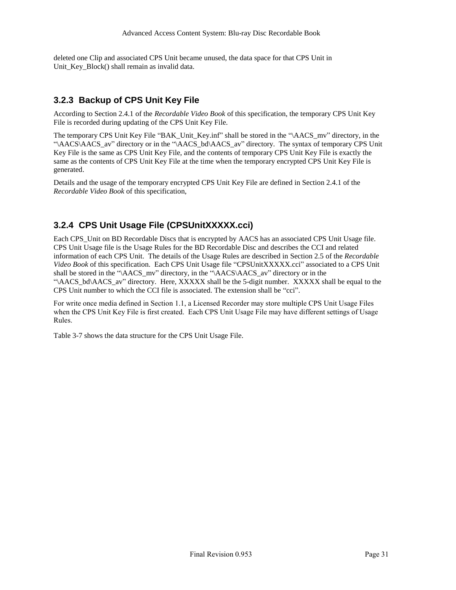deleted one Clip and associated CPS Unit became unused, the data space for that CPS Unit in Unit Key Block() shall remain as invalid data.

## **3.2.3 Backup of CPS Unit Key File**

According to Section 2.4.1 of the *Recordable Video Book* of this specification, the temporary CPS Unit Key File is recorded during updating of the CPS Unit Key File.

The temporary CPS Unit Key File "BAK\_Unit\_Key.inf" shall be stored in the "\AACS\_mv" directory, in the "\AACS\AACS\_av" directory or in the "\AACS\_bd\AACS\_av" directory. The syntax of temporary CPS Unit Key File is the same as CPS Unit Key File, and the contents of temporary CPS Unit Key File is exactly the same as the contents of CPS Unit Key File at the time when the temporary encrypted CPS Unit Key File is generated.

Details and the usage of the temporary encrypted CPS Unit Key File are defined in Section 2.4.1 of the *Recordable Video Book* of this specification,

## <span id="page-42-0"></span>**3.2.4 CPS Unit Usage File (CPSUnitXXXXX.cci)**

Each CPS\_Unit on BD Recordable Discs that is encrypted by AACS has an associated CPS Unit Usage file. CPS Unit Usage file is the Usage Rules for the BD Recordable Disc and describes the CCI and related information of each CPS Unit. The details of the Usage Rules are described in Section 2.5 of the *Recordable Video Book* of this specification. Each CPS Unit Usage file "CPSUnitXXXXX.cci" associated to a CPS Unit shall be stored in the "\AACS\_mv" directory, in the "\AACS\AACS\_av" directory or in the "\AACS\_bd\AACS\_av" directory. Here, XXXXX shall be the 5-digit number. XXXXX shall be equal to the CPS Unit number to which the CCI file is associated. The extension shall be "cci".

For write once media defined in Section [1.1,](#page-12-0) a Licensed Recorder may store multiple CPS Unit Usage Files when the CPS Unit Key File is first created. Each CPS Unit Usage File may have different settings of Usage Rules.

[Table 3-7](#page-43-0) shows the data structure for the CPS Unit Usage File.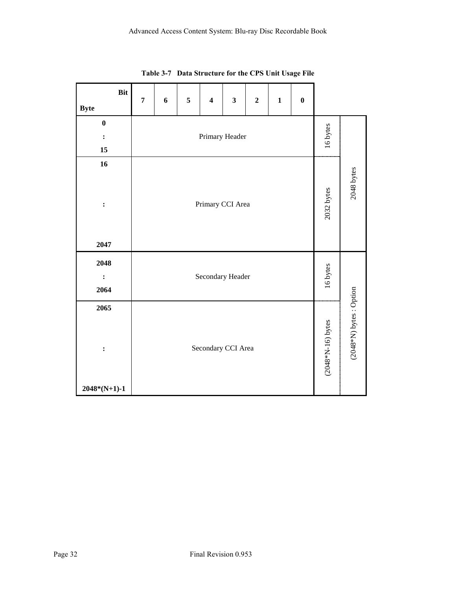<span id="page-43-0"></span>

| <b>Bit</b><br><b>Byte</b>                | $\overline{7}$   | $\boldsymbol{6}$ | 5 | $\overline{\mathbf{4}}$ | $\mathbf{3}$       | $\boldsymbol{2}$ | $\mathbf 1$  | $\boldsymbol{0}$ |                     |                           |
|------------------------------------------|------------------|------------------|---|-------------------------|--------------------|------------------|--------------|------------------|---------------------|---------------------------|
| $\boldsymbol{0}$<br>$\ddot{\cdot}$<br>15 |                  |                  |   |                         | Primary Header     |                  |              |                  | 16 bytes            |                           |
| 16<br>$\colon$<br>2047                   |                  | Primary CCI Area |   |                         |                    |                  | $2032$ bytes | $2048$ bytes     |                     |                           |
| 2048<br>$\ddot{\cdot}$<br>2064           | Secondary Header |                  |   |                         |                    | 16 bytes         |              |                  |                     |                           |
| 2065<br>$\ddot{\cdot}$<br>$2048*(N+1)-1$ |                  |                  |   |                         | Secondary CCI Area |                  |              |                  | $(2048*N-16)$ bytes | $(2048*N)$ bytes : Option |

**Table 3-7 Data Structure for the CPS Unit Usage File**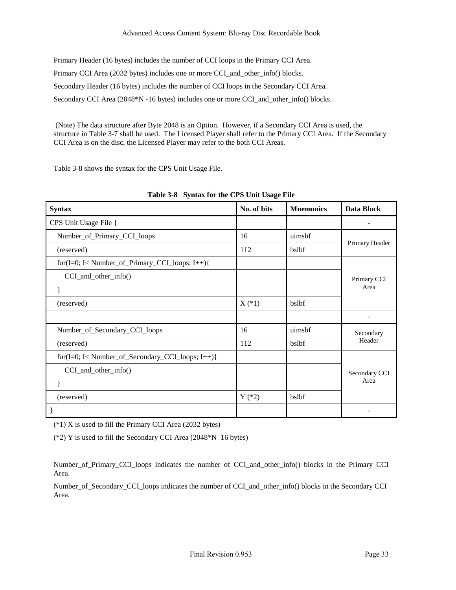Primary Header (16 bytes) includes the number of CCI loops in the Primary CCI Area. Primary CCI Area (2032 bytes) includes one or more CCI\_and\_other\_info() blocks. Secondary Header (16 bytes) includes the number of CCI loops in the Secondary CCI Area. Secondary CCI Area (2048\*N -16 bytes) includes one or more CCI\_and\_other\_info() blocks.

(Note) The data structure after Byte 2048 is an Option. However, if a Secondary CCI Area is used, the structure in [Table 3-7](#page-43-0) shall be used. The Licensed Player shall refer to the Primary CCI Area. If the Secondary CCI Area is on the disc, the Licensed Player may refer to the both CCI Areas.

[Table 3-8](#page-44-0) shows the syntax for the CPS Unit Usage File.

<span id="page-44-0"></span>

| <b>Syntax</b>                                         | No. of bits | <b>Mnemonics</b> | Data Block     |
|-------------------------------------------------------|-------------|------------------|----------------|
| CPS Unit Usage File {                                 |             |                  |                |
| Number_of_Primary_CCI_loops                           | 16          | uimsbf           |                |
| (reserved)                                            | 112         | bslbf            | Primary Header |
| $for(I=0; I<$ Number_of_Primary_CCI_loops; $I++$ ){   |             |                  |                |
| $CCI$ <sub>and</sub> $other$ <sub>info</sub> $()$     |             |                  | Primary CCI    |
|                                                       |             |                  | Area           |
| (reserved)                                            | $X(*1)$     | bslbf            |                |
|                                                       |             |                  |                |
| Number_of_Secondary_CCI_loops                         | 16          | uimsbf           | Secondary      |
| (reserved)                                            | 112         | bslbf            | Header         |
| $for(I=0; I<$ Number_of_Secondary_CCI_loops; $I++$ }{ |             |                  |                |
| $CCI$ <sub>and</sub> $other$ <sub>info</sub> $()$     |             |                  | Secondary CCI  |
|                                                       |             |                  | Area           |
| (reserved)                                            | $Y(*2)$     | bslbf            |                |
|                                                       |             |                  |                |

**Table 3-8 Syntax for the CPS Unit Usage File**

(\*1) X is used to fill the Primary CCI Area (2032 bytes)

(\*2) Y is used to fill the Secondary CCI Area (2048\*N–16 bytes)

Number\_of\_Primary\_CCI\_loops indicates the number of CCI\_and\_other\_info() blocks in the Primary CCI Area.

Number\_of\_Secondary\_CCI\_loops indicates the number of CCI\_and\_other\_info() blocks in the Secondary CCI Area.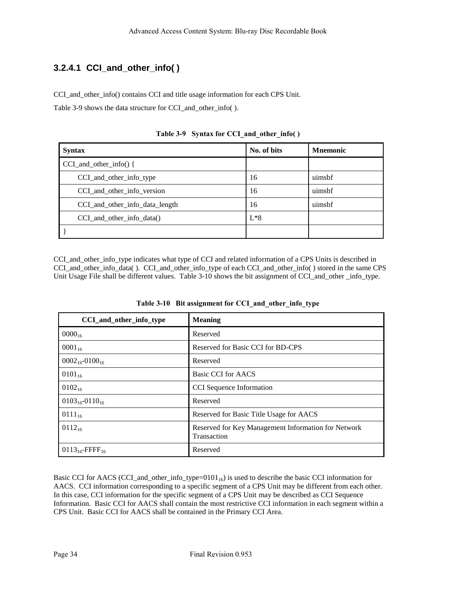## **3.2.4.1 CCI\_and\_other\_info( )**

CCI\_and\_other\_info() contains CCI and title usage information for each CPS Unit.

[Table 3-9](#page-45-0) shows the data structure for CCI\_and\_other\_info( ).

<span id="page-45-0"></span>

| <b>Syntax</b>                  | No. of bits | <b>Mnemonic</b> |
|--------------------------------|-------------|-----------------|
| $CCI\_and\_other\_info()$ {    |             |                 |
| CCI_and_other_info_type        | 16          | uimsbf          |
| CCI and other info version     | 16          | uimsbf          |
| CCI_and_other_info_data_length | 16          | uimsbf          |
| CCI_and_other_info_data()      | $L*8$       |                 |
|                                |             |                 |

**Table 3-9 Syntax for CCI\_and\_other\_info( )**

CCI\_and\_other\_info\_type indicates what type of CCI and related information of a CPS Units is described in CCI\_and\_other\_info\_data( ). CCI\_and\_other\_info\_type of each CCI\_and\_other\_info( ) stored in the same CPS Unit Usage File shall be different values. [Table 3-10](#page-45-1) shows the bit assignment of CCI\_and\_other \_info\_type.

<span id="page-45-1"></span>

| CCI_and_other_info_type         | <b>Meaning</b>                                                     |
|---------------------------------|--------------------------------------------------------------------|
| $0000_{16}$                     | Reserved                                                           |
| $0001_{16}$                     | Reserved for Basic CCI for BD-CPS                                  |
| $0002_{16} - 0100_{16}$         | Reserved                                                           |
| $0101_{16}$                     | <b>Basic CCI for AACS</b>                                          |
| $0102_{16}$                     | CCI Sequence Information                                           |
| $0103_{16} - 0110_{16}$         | Reserved                                                           |
| $0111_{16}$                     | Reserved for Basic Title Usage for AACS                            |
| $0112_{16}$                     | Reserved for Key Management Information for Network<br>Transaction |
| $0113_{16}$ -FFFF <sub>16</sub> | Reserved                                                           |

**Table 3-10 Bit assignment for CCI\_and\_other\_info\_type**

Basic CCI for AACS (CCI\_and\_other\_info\_type= $0101_{16}$ ) is used to describe the basic CCI information for AACS. CCI information corresponding to a specific segment of a CPS Unit may be different from each other. In this case, CCI information for the specific segment of a CPS Unit may be described as CCI Sequence Information. Basic CCI for AACS shall contain the most restrictive CCI information in each segment within a CPS Unit. Basic CCI for AACS shall be contained in the Primary CCI Area.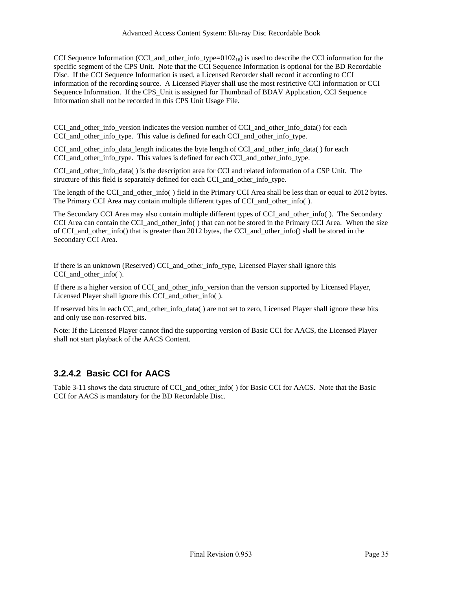CCI Sequence Information (CCI\_and\_other\_info\_type= $0102_{16}$ ) is used to describe the CCI information for the specific segment of the CPS Unit. Note that the CCI Sequence Information is optional for the BD Recordable Disc. If the CCI Sequence Information is used, a Licensed Recorder shall record it according to CCI information of the recording source. A Licensed Player shall use the most restrictive CCI information or CCI Sequence Information. If the CPS\_Unit is assigned for Thumbnail of BDAV Application, CCI Sequence Information shall not be recorded in this CPS Unit Usage File.

CCI and other info\_version indicates the version number of CCI and other info\_data() for each CCI and other info type. This value is defined for each CCI and other info type.

CCI and other info data length indicates the byte length of CCI and other info data( ) for each CCI\_and\_other\_info\_type. This values is defined for each CCI\_and\_other\_info\_type.

CCI and other info data( ) is the description area for CCI and related information of a CSP Unit. The structure of this field is separately defined for each CCI\_and\_other\_info\_type.

The length of the CCI\_and\_other\_info( ) field in the Primary CCI Area shall be less than or equal to 2012 bytes. The Primary CCI Area may contain multiple different types of CCI\_and\_other\_info( ).

The Secondary CCI Area may also contain multiple different types of CCI\_and\_other\_info( ). The Secondary CCI Area can contain the CCI and other info( ) that can not be stored in the Primary CCI Area. When the size of CCI\_and\_other\_info() that is greater than 2012 bytes, the CCI\_and\_other\_info() shall be stored in the Secondary CCI Area.

If there is an unknown (Reserved) CCI\_and\_other\_info\_type, Licensed Player shall ignore this CCI\_and\_other\_info( ).

If there is a higher version of CCI\_and\_other\_info\_version than the version supported by Licensed Player, Licensed Player shall ignore this CCI and other info( ).

If reserved bits in each CC\_and\_other\_info\_data() are not set to zero, Licensed Player shall ignore these bits and only use non-reserved bits.

Note: If the Licensed Player cannot find the supporting version of Basic CCI for AACS, the Licensed Player shall not start playback of the AACS Content.

#### <span id="page-46-0"></span>**3.2.4.2 Basic CCI for AACS**

[Table 3-11](#page-47-0) shows the data structure of CCI and other info( ) for Basic CCI for AACS. Note that the Basic CCI for AACS is mandatory for the BD Recordable Disc.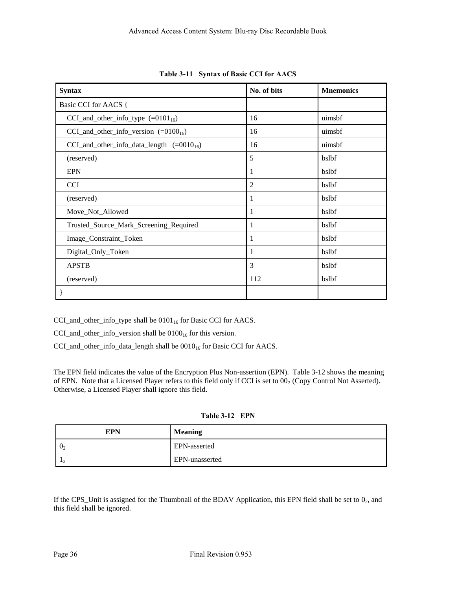<span id="page-47-0"></span>

| <b>Syntax</b>                                               | No. of bits | <b>Mnemonics</b> |
|-------------------------------------------------------------|-------------|------------------|
| Basic CCI for AACS {                                        |             |                  |
| CCI_and_other_info_type $(=0101_{16})$                      | 16          | uimsbf           |
| $CCI\_and\_other\_info\_version (=0100_{16})$               | 16          | uimsbf           |
| $CCI$ <sub>and</sub> -other_info_data_length $(=0010_{16})$ | 16          | uimsbf           |
| (reserved)                                                  | 5           | bslbf            |
| <b>EPN</b>                                                  | 1           | bslbf            |
| <b>CCI</b>                                                  | 2           | bslbf            |
| (reserved)                                                  | 1           | bslbf            |
| Move_Not_Allowed                                            | 1           | bslbf            |
| Trusted_Source_Mark_Screening_Required                      | 1           | bslbf            |
| Image_Constraint_Token                                      | 1           | bslbf            |
| Digital_Only_Token                                          | 1           | bslbf            |
| <b>APSTB</b>                                                | 3           | bslbf            |
| (reserved)                                                  | 112         | bslbf            |
|                                                             |             |                  |

**Table 3-11 Syntax of Basic CCI for AACS**

CCI\_and\_other\_info\_type shall be  $0101_{16}$  for Basic CCI for AACS.

 $CCI$ <sub>-and-other-info-version shall be  $0100<sub>16</sub>$  for this version.</sub>

 $CCI\_and\_other\_info\_data\_length$  shall be  $0010_{16}$  for Basic CCI for AACS.

The EPN field indicates the value of the Encryption Plus Non-assertion (EPN). [Table 3-12](#page-47-1) shows the meaning of EPN. Note that a Licensed Player refers to this field only if CCI is set to  $00<sub>2</sub>$  (Copy Control Not Asserted). Otherwise, a Licensed Player shall ignore this field.

**Table 3-12 EPN**

<span id="page-47-1"></span>

| <b>EPN</b>     | <b>Meaning</b> |
|----------------|----------------|
| 0 <sub>2</sub> | EPN-asserted   |
| 1 <sub>2</sub> | EPN-unasserted |

If the CPS\_Unit is assigned for the Thumbnail of the BDAV Application, this EPN field shall be set to  $0<sub>2</sub>$ , and this field shall be ignored.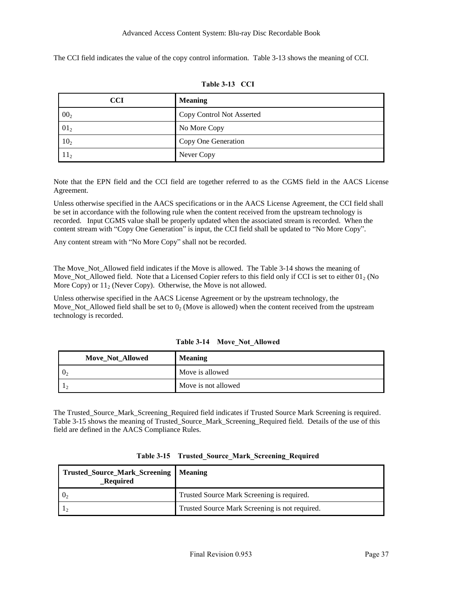The CCI field indicates the value of the copy control information. [Table 3-13](#page-48-0) shows the meaning of CCI.

**Table 3-13 CCI**

<span id="page-48-0"></span>

| CCI             | <b>Meaning</b>            |
|-----------------|---------------------------|
| 00 <sub>2</sub> | Copy Control Not Asserted |
| $01_2$          | No More Copy              |
| 10 <sub>2</sub> | Copy One Generation       |
| 11 <sub>2</sub> | Never Copy                |

Note that the EPN field and the CCI field are together referred to as the CGMS field in the AACS License Agreement.

Unless otherwise specified in the AACS specifications or in the AACS License Agreement, the CCI field shall be set in accordance with the following rule when the content received from the upstream technology is recorded. Input CGMS value shall be properly updated when the associated stream is recorded. When the content stream with "Copy One Generation" is input, the CCI field shall be updated to "No More Copy".

Any content stream with "No More Copy" shall not be recorded.

The Move\_Not\_Allowed field indicates if the Move is allowed. Th[e Table 3-14](#page-48-1) shows the meaning of Move\_Not\_Allowed field. Note that a Licensed Copier refers to this field only if CCI is set to either  $01<sub>2</sub>$  (No More Copy) or  $11<sub>2</sub>$  (Never Copy). Otherwise, the Move is not allowed.

Unless otherwise specified in the AACS License Agreement or by the upstream technology, the Move\_Not\_Allowed field shall be set to  $0<sub>2</sub>$  (Move is allowed) when the content received from the upstream technology is recorded.

<span id="page-48-1"></span>

| Move_Not_Allowed | <b>Meaning</b>      |
|------------------|---------------------|
| 0 <sub>2</sub>   | Move is allowed     |
|                  | Move is not allowed |

**Table 3-14 Move\_Not\_Allowed**

The Trusted\_Source\_Mark\_Screening\_Required field indicates if Trusted Source Mark Screening is required. [Table 3-15](#page-48-2) shows the meaning of Trusted\_Source\_Mark\_Screening\_Required field. Details of the use of this field are defined in the AACS Compliance Rules.

<span id="page-48-2"></span>

| Trusted_Source_Mark_Screening   Meaning<br>Required |                                                |
|-----------------------------------------------------|------------------------------------------------|
| 0 <sub>2</sub>                                      | Trusted Source Mark Screening is required.     |
|                                                     | Trusted Source Mark Screening is not required. |

#### **Table 3-15 Trusted\_Source\_Mark\_Screening\_Required**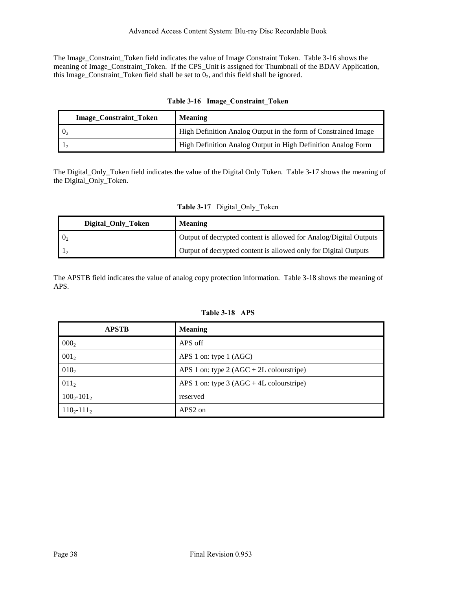The Image\_Constraint\_Token field indicates the value of Image Constraint Token. [Table 3-16](#page-49-0) shows the meaning of Image\_Constraint\_Token. If the CPS\_Unit is assigned for Thumbnail of the BDAV Application, this Image\_Constraint\_Token field shall be set to  $0<sub>2</sub>$ , and this field shall be ignored.

| Table 3-16 Image_Constraint_Token |  |  |  |
|-----------------------------------|--|--|--|
|-----------------------------------|--|--|--|

<span id="page-49-0"></span>

| <b>Image_Constraint_Token</b> | <b>Meaning</b>                                                 |
|-------------------------------|----------------------------------------------------------------|
|                               | High Definition Analog Output in the form of Constrained Image |
|                               | High Definition Analog Output in High Definition Analog Form   |

The Digital\_Only\_Token field indicates the value of the Digital Only Token. [Table 3-17](#page-49-1) shows the meaning of the Digital\_Only\_Token.

**Table 3-17** Digital\_Only\_Token

<span id="page-49-1"></span>

| Digital_Only_Token | <b>Meaning</b>                                                    |
|--------------------|-------------------------------------------------------------------|
|                    | Output of decrypted content is allowed for Analog/Digital Outputs |
|                    | Output of decrypted content is allowed only for Digital Outputs   |

The APSTB field indicates the value of analog copy protection information. [Table 3-18](#page-49-2) shows the meaning of APS.

**Table 3-18 APS**

<span id="page-49-2"></span>

| <b>APSTB</b>        | <b>Meaning</b>                             |
|---------------------|--------------------------------------------|
| 000 <sub>2</sub>    | APS off                                    |
| $001_2$             | APS 1 on: type 1 $(AGC)$                   |
| $010_2$             | APS 1 on: type $2 (AGC + 2L$ colourstripe) |
| $011_2$             | APS 1 on: type $3 (AGC + 4L$ colourstripe) |
| $100_2 - 101_2$     | reserved                                   |
| $110_{2} - 111_{2}$ | APS2 on                                    |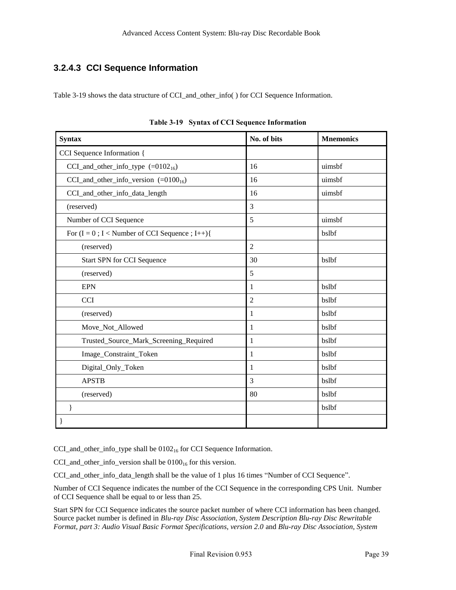## **3.2.4.3 CCI Sequence Information**

[Table 3-19](#page-50-0) shows the data structure of CCI\_and\_other\_info( ) for CCI Sequence Information.

<span id="page-50-0"></span>

| <b>Syntax</b>                                     | No. of bits    | <b>Mnemonics</b> |  |
|---------------------------------------------------|----------------|------------------|--|
| CCI Sequence Information {                        |                |                  |  |
| CCI_and_other_info_type $(=0102_{16})$            | 16             | uimsbf           |  |
| CCI_and_other_info_version $(=0100_{16})$         | 16             | uimsbf           |  |
| CCI_and_other_info_data_length                    | 16             | uimsbf           |  |
| (reserved)                                        | 3              |                  |  |
| Number of CCI Sequence                            | 5              | uimsbf           |  |
| For $(I = 0; I <$ Number of CCI Sequence $; I++)$ |                | bslbf            |  |
| (reserved)                                        | $\overline{2}$ |                  |  |
| <b>Start SPN for CCI Sequence</b>                 | 30             | bslbf            |  |
| (reserved)                                        | 5              |                  |  |
| <b>EPN</b>                                        | $\mathbf{1}$   | bslbf            |  |
| <b>CCI</b>                                        | $\overline{2}$ | bslbf            |  |
| (reserved)                                        | 1              | bslbf            |  |
| Move_Not_Allowed                                  | 1              | bslbf            |  |
| Trusted_Source_Mark_Screening_Required            | $\mathbf{1}$   | bslbf            |  |
| Image_Constraint_Token                            | 1              | bslbf            |  |
| Digital_Only_Token                                | $\mathbf{1}$   | bslbf            |  |
| <b>APSTB</b>                                      | 3              | bslbf            |  |
| (reserved)                                        | 80             | bslbf            |  |
| ∤                                                 |                | bslbf            |  |
|                                                   |                |                  |  |

**Table 3-19 Syntax of CCI Sequence Information**

CCI\_and\_other\_info\_type shall be  $0102_{16}$  for CCI Sequence Information.

 $CCI$ <sub>-and-other-info-version shall be  $0100<sub>16</sub>$  for this version.</sub>

CCI\_and\_other\_info\_data\_length shall be the value of 1 plus 16 times "Number of CCI Sequence".

Number of CCI Sequence indicates the number of the CCI Sequence in the corresponding CPS Unit. Number of CCI Sequence shall be equal to or less than 25.

Start SPN for CCI Sequence indicates the source packet number of where CCI information has been changed. Source packet number is defined in *Blu-ray Disc Association, System Description Blu-ray Disc Rewritable Format, part 3: Audio Visual Basic Format Specifications, version 2.0* and *Blu-ray Disc Association, System*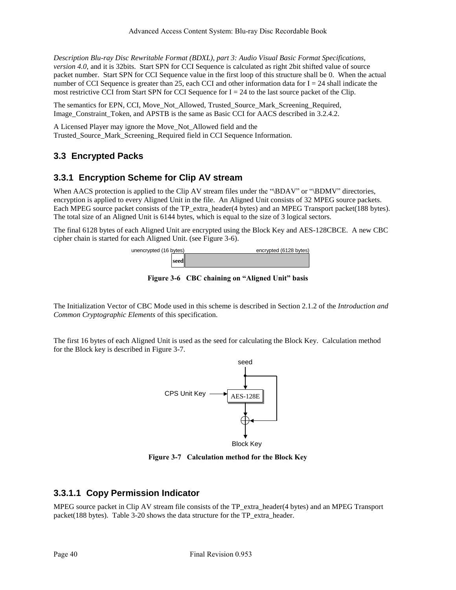*Description Blu-ray Disc Rewritable Format (BDXL), part 3: Audio Visual Basic Format Specifications, version 4.0*, and it is 32bits. Start SPN for CCI Sequence is calculated as right 2bit shifted value of source packet number. Start SPN for CCI Sequence value in the first loop of this structure shall be 0. When the actual number of CCI Sequence is greater than 25, each CCI and other information data for  $I = 24$  shall indicate the most restrictive CCI from Start SPN for CCI Sequence for  $I = 24$  to the last source packet of the Clip.

The semantics for EPN, CCI, Move\_Not\_Allowed, Trusted\_Source\_Mark\_Screening\_Required, Image Constraint Token, and APSTB is the same as Basic CCI for AACS described in [3.2.4.2.](#page-46-0)

A Licensed Player may ignore the Move\_Not\_Allowed field and the Trusted\_Source\_Mark\_Screening\_Required field in CCI Sequence Information.

## **3.3 Encrypted Packs**

## **3.3.1 Encryption Scheme for Clip AV stream**

When AACS protection is applied to the Clip AV stream files under the "\BDAV" or "\BDMV" directories, encryption is applied to every Aligned Unit in the file. An Aligned Unit consists of 32 MPEG source packets. Each MPEG source packet consists of the TP\_extra\_header(4 bytes) and an MPEG Transport packet(188 bytes). The total size of an Aligned Unit is 6144 bytes, which is equal to the size of 3 logical sectors.

The final 6128 bytes of each Aligned Unit are encrypted using the Block Key and AES-128CBCE. A new CBC cipher chain is started for each Aligned Unit. (see [Figure 3-6\)](#page-51-0).



**Figure 3-6 CBC chaining on "Aligned Unit" basis**

<span id="page-51-0"></span>The Initialization Vector of CBC Mode used in this scheme is described in Section 2.1.2 of the *Introduction and Common Cryptographic Elements* of this specification.

The first 16 bytes of each Aligned Unit is used as the seed for calculating the Block Key. Calculation method for the Block key is described in [Figure 3-7.](#page-51-1)



**Figure 3-7 Calculation method for the Block Key**

#### <span id="page-51-1"></span>**3.3.1.1 Copy Permission Indicator**

MPEG source packet in Clip AV stream file consists of the TP\_extra\_header(4 bytes) and an MPEG Transport packet(188 bytes). [Table 3-20](#page-52-0) shows the data structure for the TP\_extra\_header.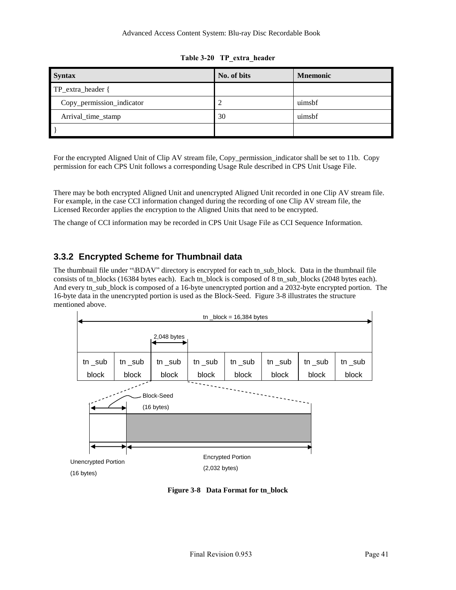<span id="page-52-0"></span>

| <b>Syntax</b>             | No. of bits | <b>Mnemonic</b> |
|---------------------------|-------------|-----------------|
| TP_extra_header {         |             |                 |
| Copy_permission_indicator | ∠           | uimsbf          |
| Arrival_time_stamp        | 30          | uimsbf          |
|                           |             |                 |

**Table 3-20 TP\_extra\_header**

For the encrypted Aligned Unit of Clip AV stream file, Copy\_permission\_indicator shall be set to 11b. Copy permission for each CPS Unit follows a corresponding Usage Rule described in CPS Unit Usage File.

There may be both encrypted Aligned Unit and unencrypted Aligned Unit recorded in one Clip AV stream file. For example, in the case CCI information changed during the recording of one Clip AV stream file, the Licensed Recorder applies the encryption to the Aligned Units that need to be encrypted.

The change of CCI information may be recorded in CPS Unit Usage File as CCI Sequence Information.

## **3.3.2 Encrypted Scheme for Thumbnail data**

The thumbnail file under "\BDAV" directory is encrypted for each tn\_sub\_block. Data in the thumbnail file consists of tn\_blocks (16384 bytes each). Each tn\_block is composed of 8 tn\_sub\_blocks (2048 bytes each). And every tn\_sub\_block is composed of a 16-byte unencrypted portion and a 2032-byte encrypted portion. The 16-byte data in the unencrypted portion is used as the Block-Seed. [Figure 3-8](#page-52-1) illustrates the structure mentioned above.



<span id="page-52-1"></span>**Figure 3-8 Data Format for tn\_block**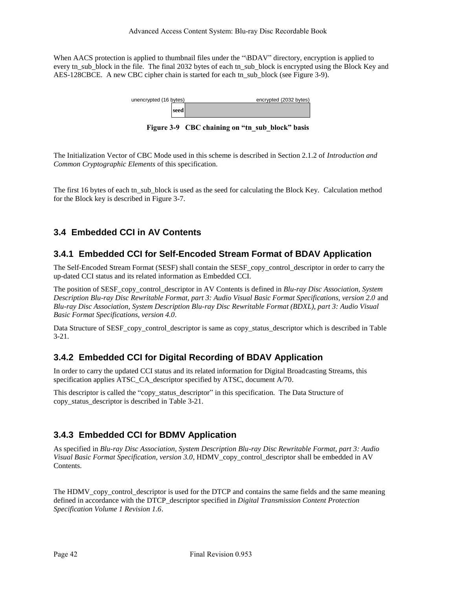When AACS protection is applied to thumbnail files under the "\BDAV" directory, encryption is applied to every tn\_sub\_block in the file. The final 2032 bytes of each tn\_sub\_block is encrypted using the Block Key and AES-128CBCE. A new CBC cipher chain is started for each tn\_sub\_block (see [Figure 3-9\)](#page-53-0).

| unencrypted (16 bytes) |      | encrypted (2032 bytes) |
|------------------------|------|------------------------|
|                        | seed |                        |

**Figure 3-9 CBC chaining on "tn\_sub\_block" basis**

<span id="page-53-0"></span>The Initialization Vector of CBC Mode used in this scheme is described in Section 2.1.2 of *Introduction and Common Cryptographic Elements* of this specification.

The first 16 bytes of each tn\_sub\_block is used as the seed for calculating the Block Key. Calculation method for the Block key is described in [Figure 3-7.](#page-51-1)

## **3.4 Embedded CCI in AV Contents**

## <span id="page-53-1"></span>**3.4.1 Embedded CCI for Self-Encoded Stream Format of BDAV Application**

The Self-Encoded Stream Format (SESF) shall contain the SESF\_copy\_control\_descriptor in order to carry the up-dated CCI status and its related information as Embedded CCI.

The position of SESF\_copy\_control\_descriptor in AV Contents is defined in *Blu-ray Disc Association, System Description Blu-ray Disc Rewritable Format, part 3: Audio Visual Basic Format Specifications, version 2.0* and *Blu-ray Disc Association, System Description Blu-ray Disc Rewritable Format (BDXL), part 3: Audio Visual Basic Format Specifications, version 4.0*.

Data Structure of SESF\_copy\_control\_descriptor is same as copy\_status\_descriptor which is described in [Table](#page-54-0)  [3-21.](#page-54-0)

#### <span id="page-53-2"></span>**3.4.2 Embedded CCI for Digital Recording of BDAV Application**

In order to carry the updated CCI status and its related information for Digital Broadcasting Streams, this specification applies ATSC\_CA\_descriptor specified by ATSC, document A/70.

This descriptor is called the "copy\_status\_descriptor" in this specification. The Data Structure of copy\_status\_descriptor is described in [Table 3-21.](#page-54-0)

## <span id="page-53-3"></span>**3.4.3 Embedded CCI for BDMV Application**

As specified in *Blu-ray Disc Association, System Description Blu-ray Disc Rewritable Format, part 3: Audio Visual Basic Format Specification, version 3.0*, HDMV\_copy\_control\_descriptor shall be embedded in AV Contents.

The HDMV\_copy\_control\_descriptor is used for the DTCP and contains the same fields and the same meaning defined in accordance with the DTCP\_descriptor specified in *Digital Transmission Content Protection Specification Volume 1 Revision 1.6*.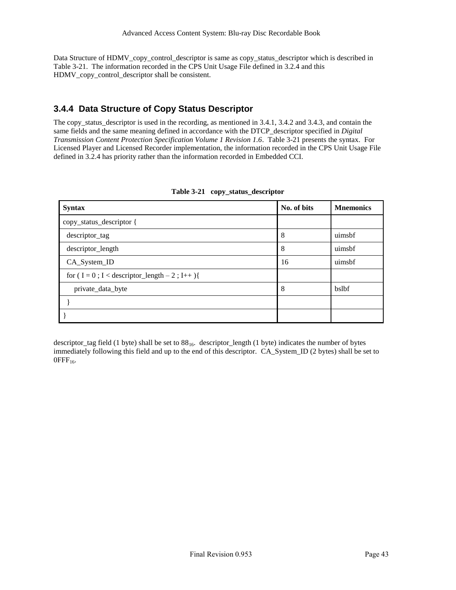Data Structure of HDMV\_copy\_control\_descriptor is same as copy\_status\_descriptor which is described in [Table 3-21.](#page-54-0) The information recorded in the CPS Unit Usage File defined in [3.2.4](#page-42-0) and this HDMV\_copy\_control\_descriptor shall be consistent.

## **3.4.4 Data Structure of Copy Status Descriptor**

The copy\_status\_descriptor is used in the recording, as mentioned in [3.4.1,](#page-53-1) [3.4.2](#page-53-2) and [3.4.3,](#page-53-3) and contain the same fields and the same meaning defined in accordance with the DTCP\_descriptor specified in *Digital Transmission Content Protection Specification Volume 1 Revision 1.6*. [Table 3-21](#page-54-0) presents the syntax. For Licensed Player and Licensed Recorder implementation, the information recorded in the CPS Unit Usage File defined in 3.2.4 has priority rather than the information recorded in Embedded CCI.

<span id="page-54-0"></span>

| <b>Syntax</b>                                    | No. of bits | <b>Mnemonics</b> |
|--------------------------------------------------|-------------|------------------|
| copy_status_descriptor {                         |             |                  |
| descriptor_tag                                   | 8           | uimsbf           |
| descriptor_length                                | 8           | uimsbf           |
| CA_System_ID                                     | 16          | uimsbf           |
| for $(I = 0; I <$ descriptor_length $-2$ ; I++){ |             |                  |
| private_data_byte                                | 8           | bslbf            |
|                                                  |             |                  |
|                                                  |             |                  |

**Table 3-21 copy\_status\_descriptor**

descriptor\_tag field (1 byte) shall be set to  $88_{16}$ . descriptor\_length (1 byte) indicates the number of bytes immediately following this field and up to the end of this descriptor. CA\_System\_ID (2 bytes) shall be set to  $0$ FFF<sub>16</sub>.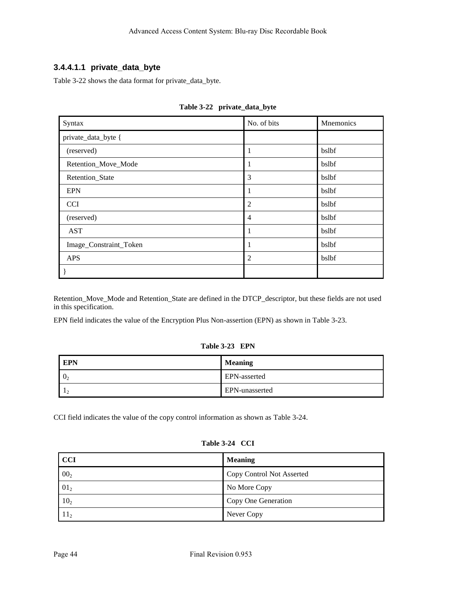#### **3.4.4.1.1 private\_data\_byte**

[Table 3-22](#page-55-0) shows the data format for private\_data\_byte.

<span id="page-55-0"></span>

| Syntax                 | No. of bits    | Mnemonics |  |
|------------------------|----------------|-----------|--|
| private_data_byte {    |                |           |  |
| (reserved)             | 1              | bslbf     |  |
| Retention_Move_Mode    | -1             | bslbf     |  |
| Retention_State        | 3              | bslbf     |  |
| <b>EPN</b>             |                | bslbf     |  |
| <b>CCI</b>             | 2              | bslbf     |  |
| (reserved)             | $\overline{4}$ | bslbf     |  |
| <b>AST</b>             | T              | bslbf     |  |
| Image_Constraint_Token | 1              | bslbf     |  |
| <b>APS</b>             | $\overline{2}$ | bslbf     |  |
|                        |                |           |  |

Retention\_Move\_Mode and Retention\_State are defined in the DTCP\_descriptor, but these fields are not used in this specification.

EPN field indicates the value of the Encryption Plus Non-assertion (EPN) as shown i[n Table 3-23.](#page-55-1)

#### **Table 3-23 EPN**

<span id="page-55-1"></span>

| <b>EPN</b>     | <b>Meaning</b>        |
|----------------|-----------------------|
| 0 <sub>2</sub> | <b>EPN-asserted</b>   |
| 12             | <b>EPN-unasserted</b> |

CCI field indicates the value of the copy control information as shown as [Table 3-24.](#page-55-2)

#### **Table 3-24 CCI**

<span id="page-55-2"></span>

| <b>CCI</b>      | <b>Meaning</b>            |
|-----------------|---------------------------|
| 00 <sub>2</sub> | Copy Control Not Asserted |
| $01_2$          | No More Copy              |
| $10_{2}$        | Copy One Generation       |
| 11 <sub>2</sub> | Never Copy                |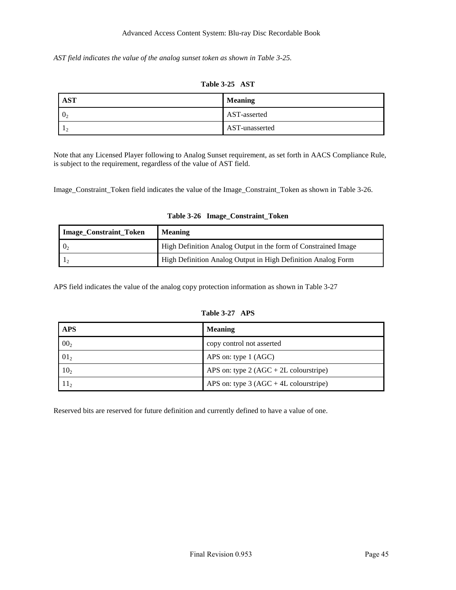*AST field indicates the value of the analog sunset token as shown in Table 3-25.*

| Table 3-25 AST |  |
|----------------|--|
|----------------|--|

| <b>AST</b>     | <b>Meaning</b> |
|----------------|----------------|
| 0 <sub>2</sub> | AST-asserted   |
|                | AST-unasserted |

Note that any Licensed Player following to Analog Sunset requirement, as set forth in AACS Compliance Rule, is subject to the requirement, regardless of the value of AST field.

Image\_Constraint\_Token field indicates the value of the Image\_Constraint\_Token as shown in Table 3-26.

| Image_Constraint_Token | <b>Meaning</b>                                                 |
|------------------------|----------------------------------------------------------------|
| 0 <sub>2</sub>         | High Definition Analog Output in the form of Constrained Image |
| $\mathbf{1}_{2}$       | High Definition Analog Output in High Definition Analog Form   |

**Table 3-26 Image\_Constraint\_Token**

APS field indicates the value of the analog copy protection information as shown in Table 3-27

| APS<br><b>Table 3-27</b> |
|--------------------------|
|--------------------------|

| <b>APS</b>      | <b>Meaning</b>                           |
|-----------------|------------------------------------------|
| 00 <sub>2</sub> | copy control not asserted                |
| $01_2$          | APS on: type 1 (AGC)                     |
| 10 <sub>2</sub> | APS on: type $2 (AGC + 2L$ colourstripe) |
|                 | APS on: type $3 (AGC + 4L$ colourstripe) |

Reserved bits are reserved for future definition and currently defined to have a value of one.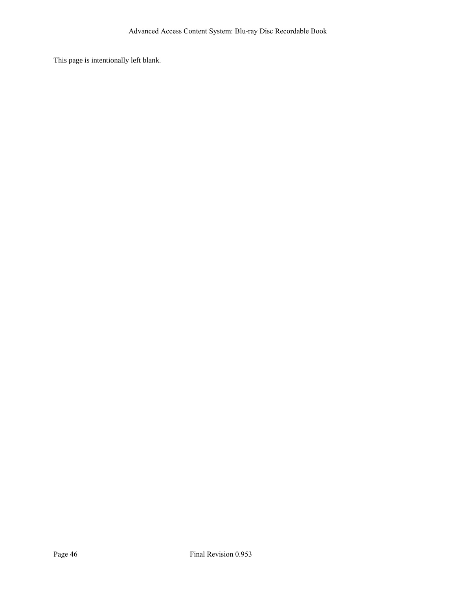This page is intentionally left blank.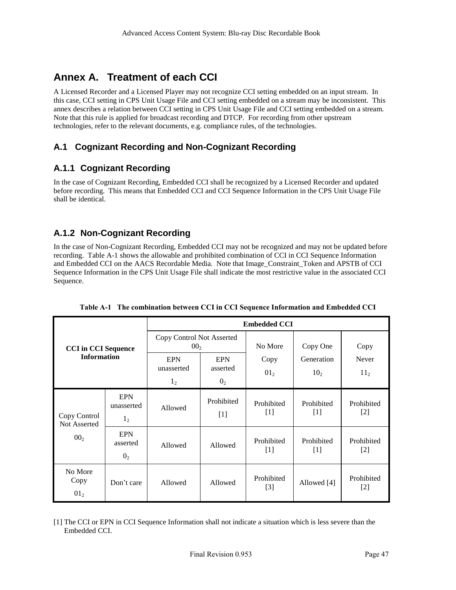## **Annex A. Treatment of each CCI**

A Licensed Recorder and a Licensed Player may not recognize CCI setting embedded on an input stream. In this case, CCI setting in CPS Unit Usage File and CCI setting embedded on a stream may be inconsistent. This annex describes a relation between CCI setting in CPS Unit Usage File and CCI setting embedded on a stream. Note that this rule is applied for broadcast recording and DTCP. For recording from other upstream technologies, refer to the relevant documents, e.g. compliance rules, of the technologies.

## **A.1 Cognizant Recording and Non-Cognizant Recording**

## **A.1.1 Cognizant Recording**

In the case of Cognizant Recording, Embedded CCI shall be recognized by a Licensed Recorder and updated before recording. This means that Embedded CCI and CCI Sequence Information in the CPS Unit Usage File shall be identical.

## **A.1.2 Non-Cognizant Recording**

In the case of Non-Cognizant Recording, Embedded CCI may not be recognized and may not be updated before recording. [Table A-1](#page-58-0) shows the allowable and prohibited combination of CCI in CCI Sequence Information and Embedded CCI on the AACS Recordable Media. Note that Image\_Constraint\_Token and APSTB of CCI Sequence Information in the CPS Unit Usage File shall indicate the most restrictive value in the associated CCI Sequence.

<span id="page-58-0"></span>

| <b>CCI</b> in CCI Sequence<br><b>Information</b> |                                            | <b>Embedded CCI</b>                          |                                          |                         |                               |                          |
|--------------------------------------------------|--------------------------------------------|----------------------------------------------|------------------------------------------|-------------------------|-------------------------------|--------------------------|
|                                                  |                                            | Copy Control Not Asserted<br>00 <sub>2</sub> |                                          | No More                 | Copy One                      | Copy                     |
|                                                  |                                            | <b>EPN</b><br>unasserted<br>1 <sub>2</sub>   | <b>EPN</b><br>asserted<br>0 <sub>2</sub> | Copy<br>01 <sub>2</sub> | Generation<br>10 <sub>2</sub> | Never<br>11 <sub>2</sub> |
| Copy Control<br>Not Asserted<br>00 <sub>2</sub>  | <b>EPN</b><br>unasserted<br>1 <sub>2</sub> | Allowed                                      | Prohibited<br>$[1]$                      | Prohibited<br>$[1]$     | Prohibited<br>$[1]$           | Prohibited<br>$[2]$      |
|                                                  | <b>EPN</b><br>asserted<br>0 <sub>2</sub>   | Allowed                                      | Allowed                                  | Prohibited<br>$[1]$     | Prohibited<br>$[1]$           | Prohibited<br>$[2]$      |
| No More<br>Copy<br>01 <sub>2</sub>               | Don't care                                 | Allowed                                      | Allowed                                  | Prohibited<br>$[3]$     | Allowed [4]                   | Prohibited<br>$[2]$      |

**Table A-1 The combination between CCI in CCI Sequence Information and Embedded CCI**

[1] The CCI or EPN in CCI Sequence Information shall not indicate a situation which is less severe than the Embedded CCI.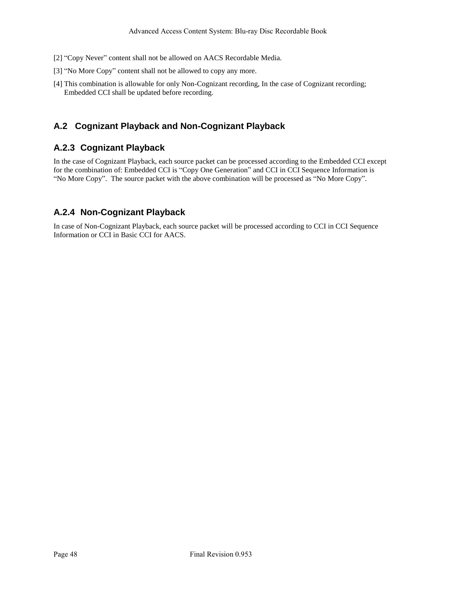- [2] "Copy Never" content shall not be allowed on AACS Recordable Media.
- [3] "No More Copy" content shall not be allowed to copy any more.
- [4] This combination is allowable for only Non-Cognizant recording, In the case of Cognizant recording; Embedded CCI shall be updated before recording.

#### **A.2 Cognizant Playback and Non-Cognizant Playback**

#### **A.2.3 Cognizant Playback**

In the case of Cognizant Playback, each source packet can be processed according to the Embedded CCI except for the combination of: Embedded CCI is "Copy One Generation" and CCI in CCI Sequence Information is "No More Copy". The source packet with the above combination will be processed as "No More Copy".

#### **A.2.4 Non-Cognizant Playback**

In case of Non-Cognizant Playback, each source packet will be processed according to CCI in CCI Sequence Information or CCI in Basic CCI for AACS.